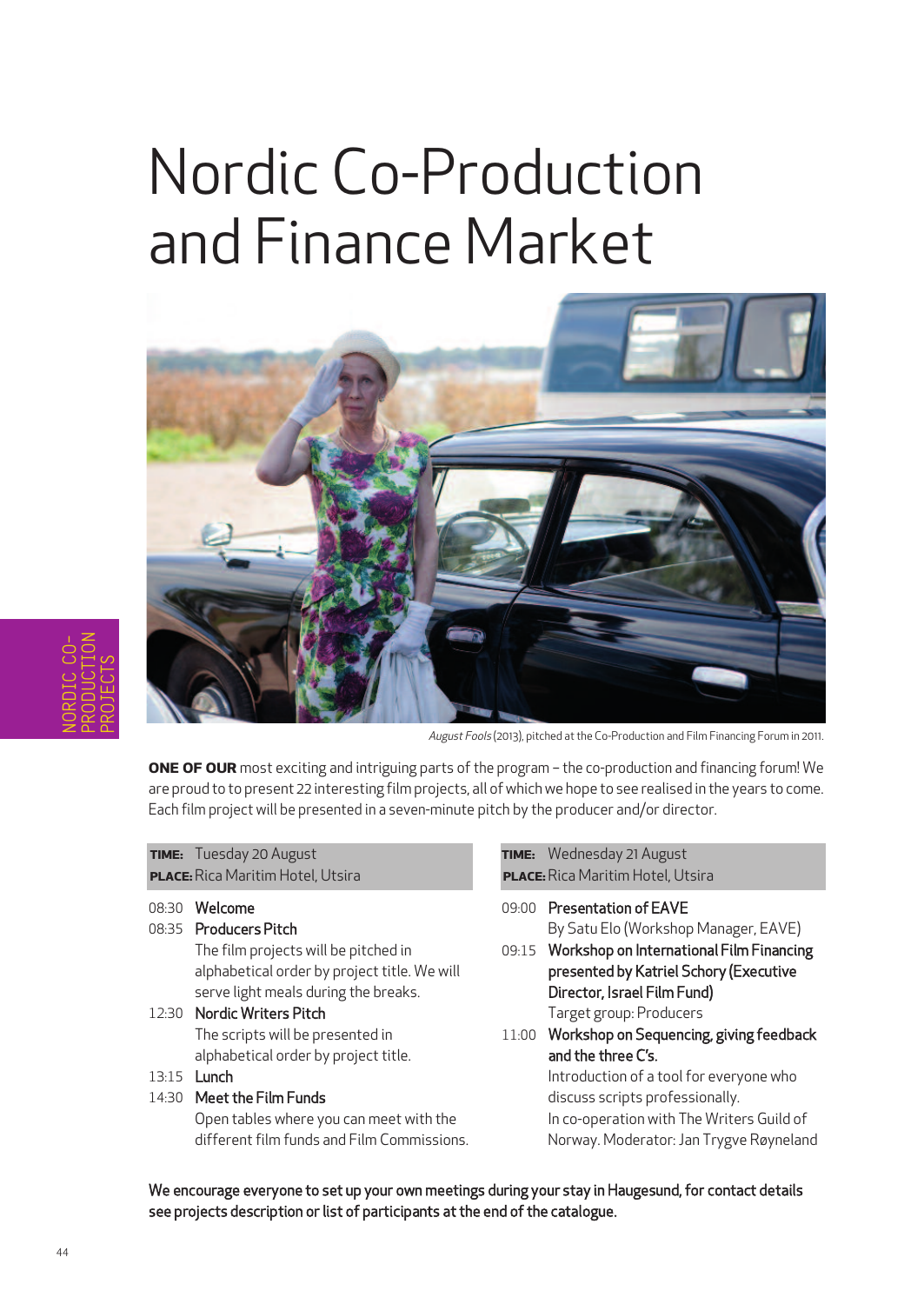# Nordic Co-Production and Finance Market



August Fools (2013), pitched at the Co-Production and Film Financing Forum in 2011.

**ONE OF OUR** most exciting and intriguing parts of the program – the co-production and financing forum! We are proud to to present 22 interesting film projects, all of which we hope to see realised in the years to come. Each film project will be presented in a seven-minute pitch by the producer and/or director.

| TIME: Tuesday 20 August                  |
|------------------------------------------|
| <b>PLACE:</b> Rica Maritim Hotel, Utsira |

- 08:30 Welcome
- 08:35 Producers Pitch

The film projects will be pitched in alphabetical order by project title. We will serve light meals during the breaks.

- 12:30 Nordic Writers Pitch The scripts will be presented in alphabetical order by project title.
- 13:15 Lunch
- 14:30 Meet the Film Funds

Open tables where you can meet with the different film funds and Film Commissions. **TIME:** Wednesday 21 August **PLACE:**Rica Maritim Hotel, Utsira

- 09:00 Presentation of EAVE By Satu Elo (Workshop Manager, EAVE)
- 09:15 Workshop on International Film Financing presented by Katriel Schory (Executive Director, Israel Film Fund) Target group: Producers
- 11:00 Workshop on Sequencing, giving feedback and the three C's. Introduction of a tool for everyone who

discuss scripts professionally. In co-operation with The Writers Guild of Norway. Moderator:Jan Trygve Røyneland

We encourage everyone to set up your own meetings during your stay in Haugesund, for contact details see projects description or list of participants at the end of the catalogue.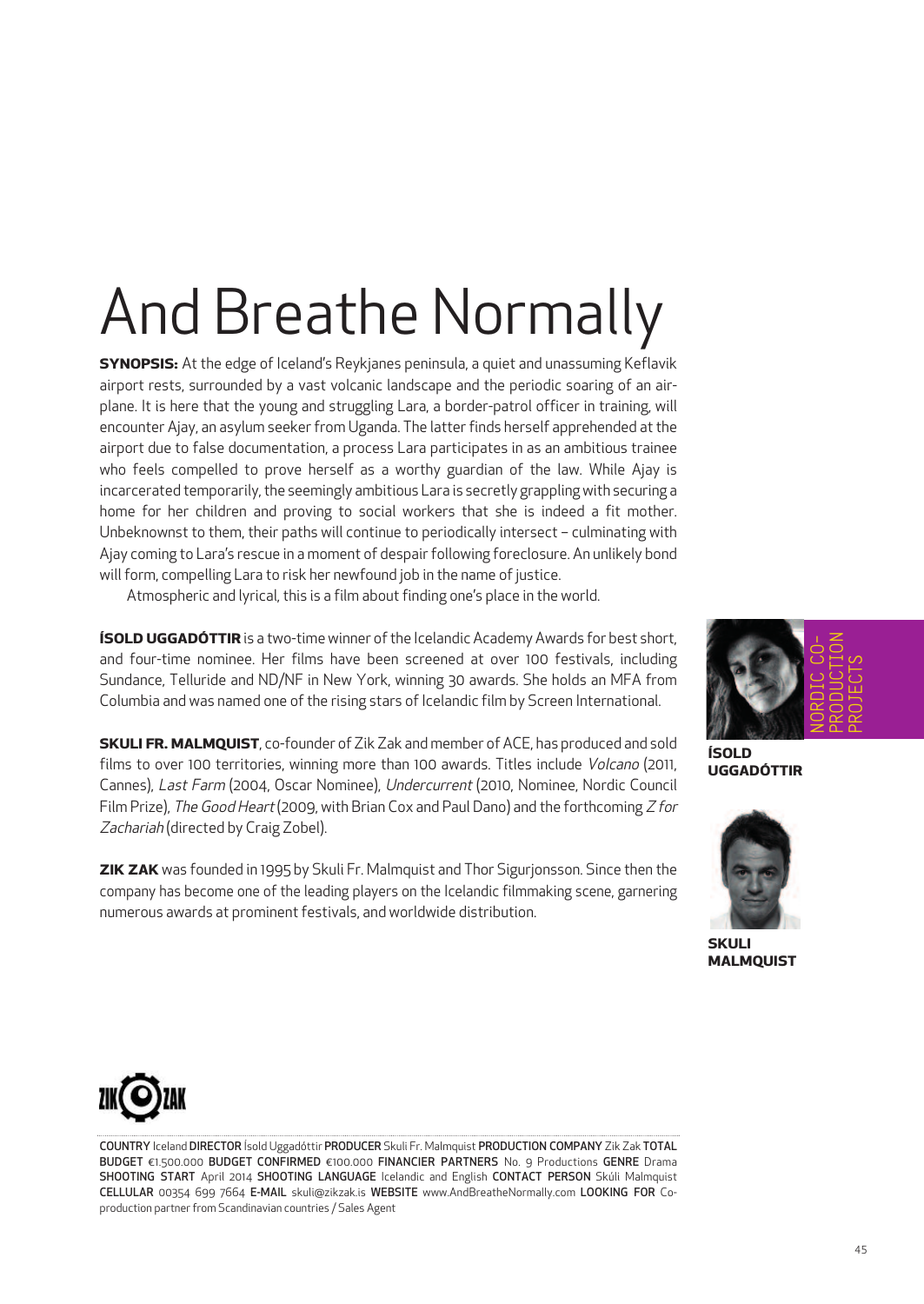# And Breathe Normally

**SYNOPSIS:** At the edge of Iceland's Reykjanes peninsula, a quiet and unassuming Keflavik airport rests, surrounded by a vast volcanic landscape and the periodic soaring of an airplane. It is here that the young and struggling Lara, a border-patrol officer in training, will encounter Ajay, an asylum seeker from Uganda. The latter finds herself apprehended at the airport due to false documentation, a process Lara participates in as an ambitious trainee who feels compelled to prove herself as a worthy guardian of the law. While Ajay is incarcerated temporarily, the seemingly ambitious Lara is secretly grappling with securing a home for her children and proving to social workers that she is indeed a fit mother. Unbeknownst to them, their paths will continue to periodically intersect – culminating with Ajay coming to Lara's rescue in a moment of despair following foreclosure. An unlikely bond will form, compelling Lara to risk her newfound job in the name of justice.

Atmospheric and lyrical, this is a film about finding one's place in the world.

**ÍSOLD UGGADÓTTIR** is a two-time winner of the Icelandic Academy Awards for best short, and four-time nominee. Her films have been screened at over 100 festivals, including Sundance, Telluride and ND/NF in New York, winning 30 awards. She holds an MFA from Columbia and was named one of the rising stars of Icelandic film by Screen International.

**SKULI FR. MALMQUIST**, co-founder of Zik Zak and member of ACE, has produced and sold films to over 100 territories, winning more than 100 awards. Titles include Volcano (2011, Cannes), Last Farm (2004, Oscar Nominee), Undercurrent (2010, Nominee, Nordic Council Film Prize), The Good Heart (2009, with Brian Cox and Paul Dano) and the forthcoming  $Z$  for Zachariah (directed by Craig Zobel).

**ZIK ZAK** was founded in 1995 by Skuli Fr. Malmquist and Thor Sigurjonsson. Since then the company has become one of the leading players on the Icelandic filmmaking scene, garnering numerous awards at prominent festivals, and worldwide distribution.



**ÍSOLD UGGADÓTTIR**



**SKULI MALMQUIST**



COUNTRY Iceland DIRECTOR Ísold Uggadóttir PRODUCER Skuli Fr. Malmquist PRODUCTION COMPANY Zik Zak TOTAL BUDGET €1.500.000 BUDGET CONFIRMED €100.000 FINANCIER PARTNERS No. 9 Productions GENRE Drama SHOOTING START April 2014 SHOOTING LANGUAGE Icelandic and English CONTACT PERSON Skúli Malmquist CELLULAR 00354 699 7664 E-MAIL skuli@zikzak.is WEBSITE www.AndBreatheNormally.com LOOKING FOR Coproduction partner from Scandinavian countries / Sales Agent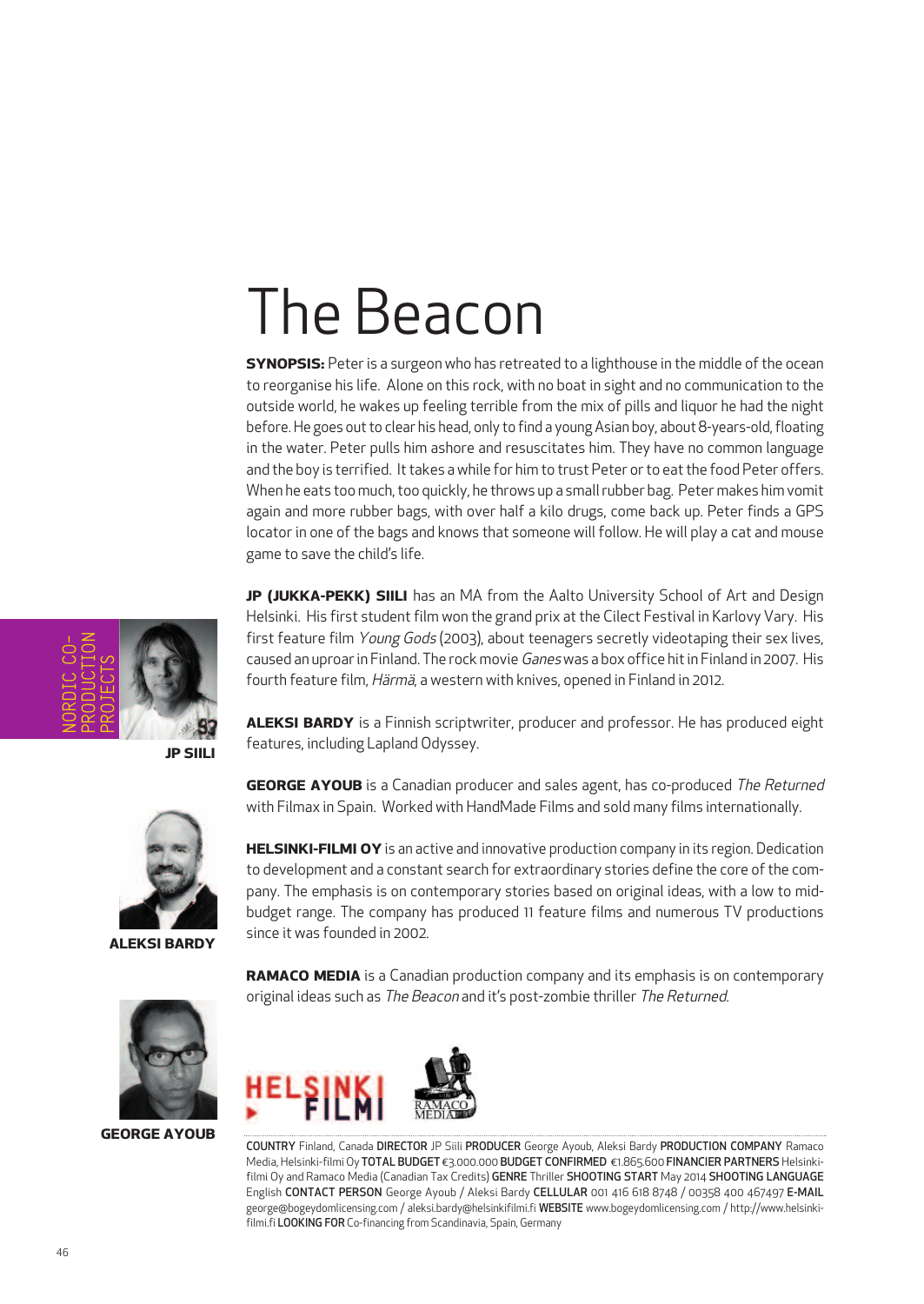## The Beacon

**SYNOPSIS:** Peter is a surgeon who has retreated to a lighthouse in the middle of the ocean to reorganise his life. Alone on this rock, with no boat in sight and no communication to the outside world, he wakes up feeling terrible from the mix of pills and liquor he had the night before. He goes out to clear his head, only to find a young Asian boy, about 8-years-old, floating in the water. Peter pulls him ashore and resuscitates him. They have no common language and the boy is terrified. It takes a while for him to trust Peter or to eat the food Peter offers. When he eats too much, too quickly, he throws up a small rubber bag. Peter makes him vomit again and more rubber bags, with over half a kilo drugs, come back up. Peter finds a GPS locator in one of the bags and knows that someone will follow. He will play a cat and mouse game to save the child's life.

**JP (JUKKA-PEKK) SIILI** has an MA from the Aalto University School of Art and Design Helsinki. His first student film won the grand prix at the Cilect Festival in Karlovy Vary. His first feature film Young Gods (2003), about teenagers secretly videotaping their sex lives, caused an uproar in Finland. The rock movie Ganes was a box office hit in Finland in 2007. His fourth feature film, Härmä, a western with knives, opened in Finland in 2012.

**ALEKSI BARDY** is a Finnish scriptwriter, producer and professor. He has produced eight features, including Lapland Odyssey.

**GEORGE AYOUB** is a Canadian producer and sales agent, has co-produced The Returned with Filmax in Spain. Worked with HandMade Films and sold many films internationally.

**HELSINKI-FILMI OY** is an active and innovative production company in its region. Dedication to development and a constant search for extraordinary stories define the core of the company. The emphasis is on contemporary stories based on original ideas, with a low to midbudget range. The company has produced 11 feature films and numerous TV productions



**ALEKSI BARDY**



**GEORGE AYOUB**

**RAMACO MEDIA** is a Canadian production company and its emphasis is on contemporary original ideas such as The Beacon and it's post-zombie thriller The Returned.



since it was founded in 2002.

COUNTRY Finland, Canada DIRECTOR JP Siili PRODUCER George Ayoub, Aleksi Bardy PRODUCTION COMPANY Ramaco Media, Helsinki-filmiOy TOTAL BUDGET €3.000.000 BUDGET CONFIRMED €1.865.600 FINANCIER PARTNERS Helsinkifilmi Oy and Ramaco Media (Canadian Tax Credits) GENRE Thriller SHOOTING START May 2014 SHOOTING LANGUAGE English CONTACT PERSON George Ayoub / Aleksi Bardy CELLULAR 001 416 618 8748 / 00358 400 467497 E-MAIL george@bogeydomlicensing.com / aleksi.bardy@helsinkifilmi.fi WEBSITE www.bogeydomlicensing.com / http://www.helsinkifilmi.fi LOOKING FOR Co-financing from Scandinavia, Spain, Germany



**JP SIILI**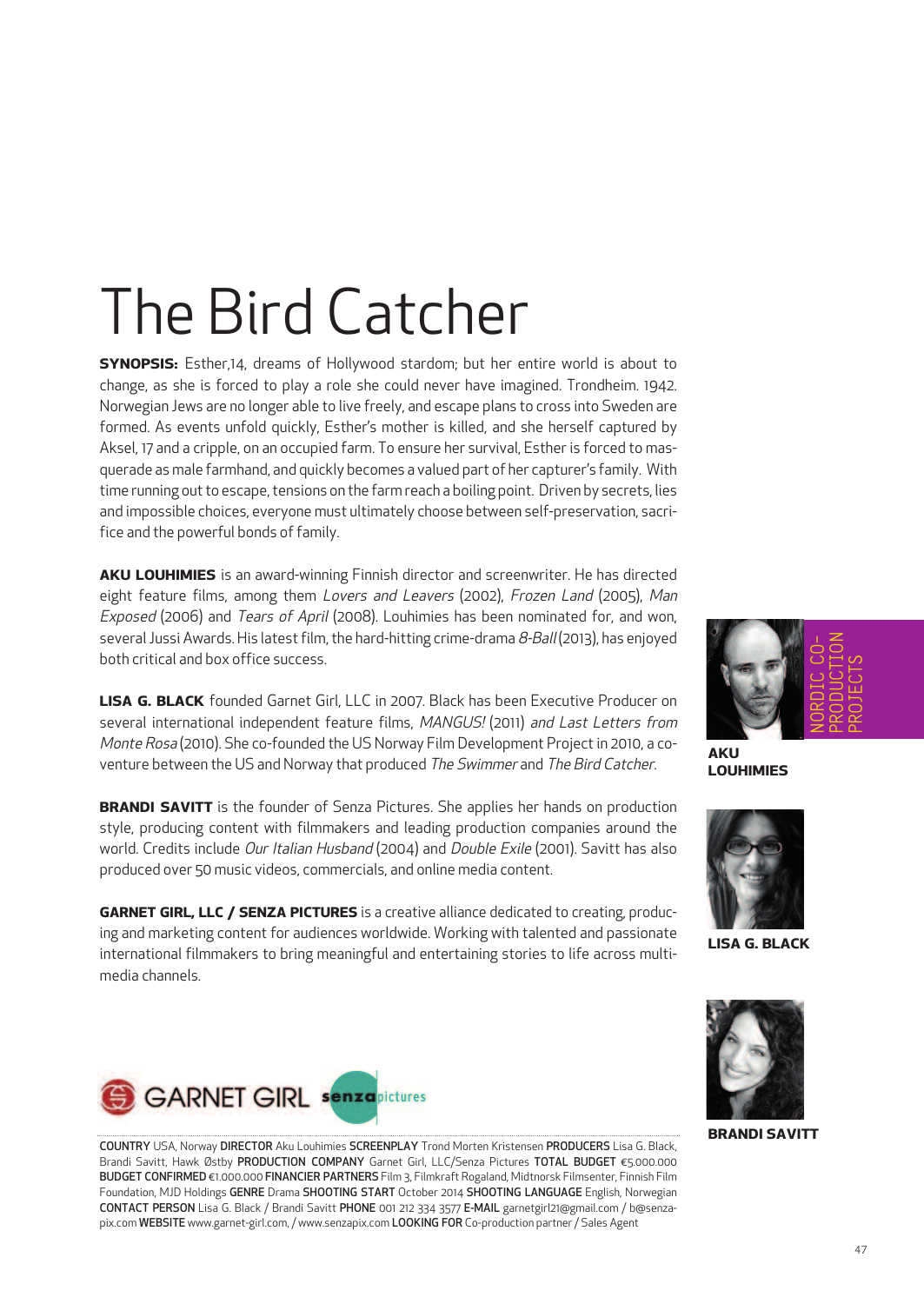## The Bird Catcher

**SYNOPSIS:** Esther,14, dreams of Hollywood stardom; but her entire world is about to change, as she is forced to play a role she could never have imagined. Trondheim. 1942. Norwegian Jews are no longer able to live freely, and escape plans to cross into Sweden are formed. As events unfold quickly, Esther's mother is killed, and she herself captured by Aksel, 17 and a cripple, on an occupied farm. To ensure her survival, Esther is forced to masquerade as male farmhand, and quickly becomes a valued part of her capturer's family. With time running out to escape, tensions on the farm reach a boiling point. Driven by secrets, lies and impossible choices, everyone must ultimately choose between self-preservation, sacrifice and the powerful bonds of family.

**AKU LOUHIMIES** is an award-winning Finnish director and screenwriter. He has directed eight feature films, among them Lovers and Leavers (2002), Frozen Land (2005), Man Exposed (2006) and Tears of April (2008). Louhimies has been nominated for, and won, several Jussi Awards. His latest film, the hard-hitting crime-drama  $8$ -Ball (2013), has enjoyed both critical and box office success.

**LISA G. BLACK** founded Garnet Girl, LLC in 2007. Black has been Executive Producer on several international independent feature films, MANGUS! (2011) and Last Letters from Monte Rosa (2010). She co-founded the US Norway Film Development Project in 2010, a coventure between the US and Norway that produced The Swimmer and The Bird Catcher.

**BRANDI SAVITT** is the founder of Senza Pictures. She applies her hands on production style, producing content with filmmakers and leading production companies around the world. Credits include Our Italian Husband (2004) and Double Exile (2001). Savitt has also produced over 50 music videos, commercials, and online media content.

**GARNET GIRL, LLC / SENZA PICTURES** is a creative alliance dedicated to creating, producing and marketing content for audiences worldwide. Working with talented and passionate international filmmakers to bring meaningful and entertaining stories to life across multimedia channels.



**LOUHIMIES**



**LISA G. BLACK**



COUNTRY USA, Norway DIRECTOR Aku Louhimies SCREENPLAY Trond Morten Kristensen PRODUCERS Lisa G. Black, Brandi Savitt, Hawk Østby PRODUCTION COMPANY Garnet Girl, LLC/Senza Pictures TOTAL BUDGET €5.000.000 BUDGET CONFIRMED €1.000.000 FINANCIER PARTNERS Film 3, Filmkraft Rogaland, Midtnorsk Filmsenter, Finnish Film Foundation, MJD Holdings GENRE Drama SHOOTING START October 2014 SHOOTING LANGUAGE English, Norwegian CONTACT PERSON Lisa G. Black / Brandi Savitt PHONE 001 212 334 3577 E-MAIL garnetgirl21@gmail.com / b@senzapix.com WEBSITE www.garnet-girl.com,/ www.senzapix.com LOOKING FOR Co-production partner/ Sales Agent



**BRANDI SAVITT**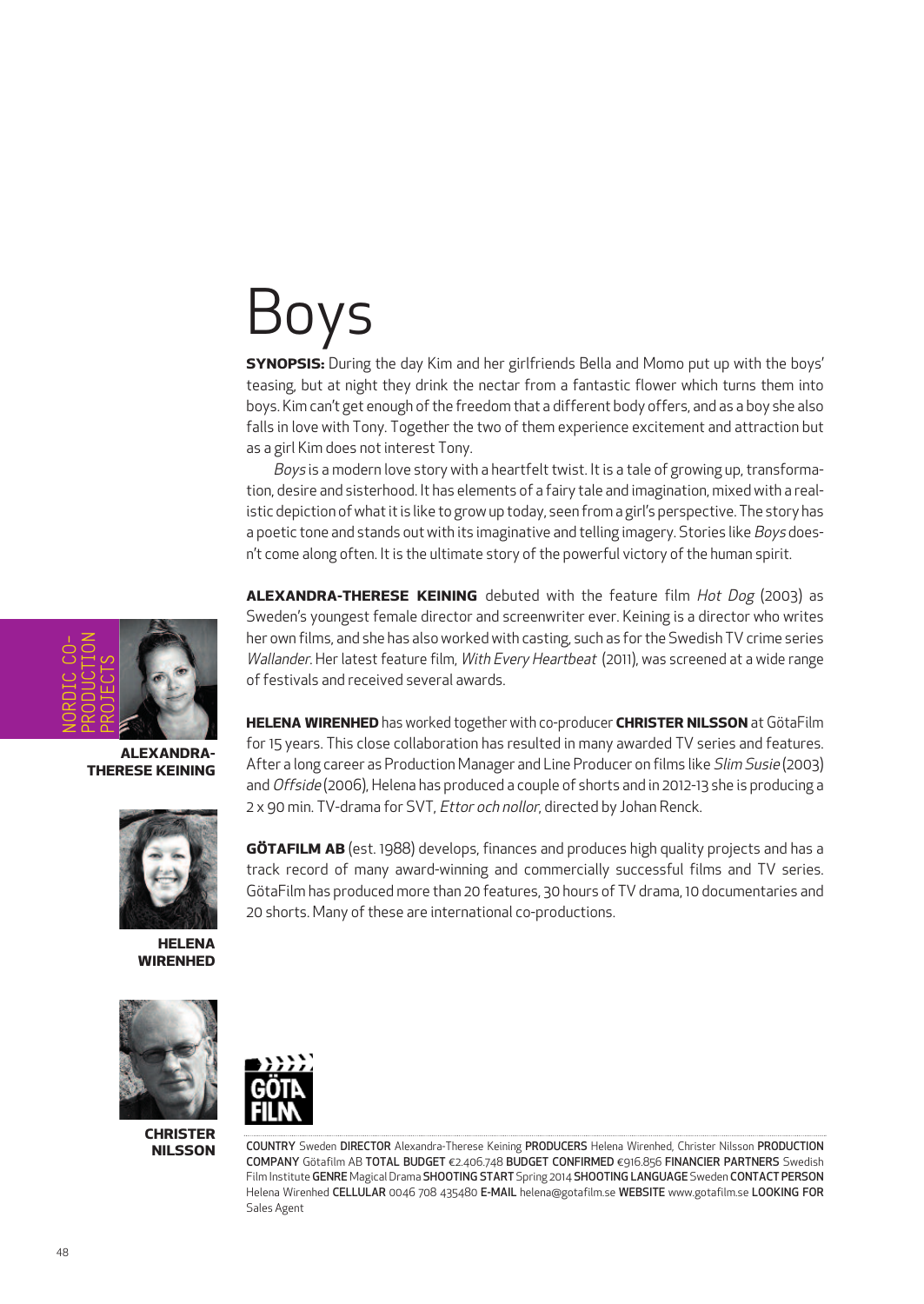# **DVS**

**SYNOPSIS:** During the day Kim and her girlfriends Bella and Momo put up with the boys' teasing, but at night they drink the nectar from a fantastic flower which turns them into boys. Kim can't get enough of the freedom that a different body offers, and as a boy she also falls in love with Tony. Together the two of them experience excitement and attraction but as a girl Kim does not interest Tony.

Boys is a modern love story with a heartfelt twist. It is a tale of growing up, transformation, desire and sisterhood. It has elements of a fairy tale and imagination, mixed with a realistic depiction of what it is like to grow up today, seen from a girl's perspective. The story has a poetic tone and stands out with its imaginative and telling imagery. Stories like Boys doesn't come along often. It is the ultimate story of the powerful victory of the human spirit.

**ALEXANDRA-THERESE KEINING** debuted with the feature film Hot Dog (2003) as Sweden's youngest female director and screenwriter ever. Keining is a director who writes her own films, and she has also worked with casting, such as forthe Swedish TV crime series Wallander. Her latest feature film, With Every Heartbeat (2011), was screened at a wide range offestivals and received several awards.

**HELENA WIRENHED** has worked together with co-producer **CHRISTER NILSSON** at GötaFilm for 15 years. This close collaboration has resulted in many awarded TV series and features. After a long career as Production Manager and Line Producer on films like Slim Susie (2003) and Offside (2006), Helena has produced a couple of shorts and in 2012-13 she is producing a 2 x 90 min. TV-drama for SVT, Ettor och nollor, directed by Johan Renck.

**GÖTAFILM AB** (est. 1988) develops, finances and produces high quality projects and has a track record of many award-winning and commercially successful films and TV series. GötaFilm has produced more than 20 features, 30 hours of TV drama, 10 documentaries and 20 shorts. Many of these are international co-productions.



**CHRISTER NILSSON**



COUNTRY Sweden DIRECTOR Alexandra-Therese Keining PRODUCERS Helena Wirenhed, Christer Nilsson PRODUCTION COMPANY Götafilm AB TOTAL BUDGET €2.406.748 BUDGET CONFIRMED €916.856 FINANCIER PARTNERS Swedish Film Institute GENRE Magical Drama SHOOTING START Spring 2014 SHOOTING LANGUAGE Sweden CONTACT PERSON Helena Wirenhed CELLULAR 0046 708 435480 E-MAIL helena@gotafilm.se WEBSITE www.gotafilm.se LOOKING FOR Sales Agent



**ALEXANDRA-THERESE KEINING**



**HELENA WIRENHED**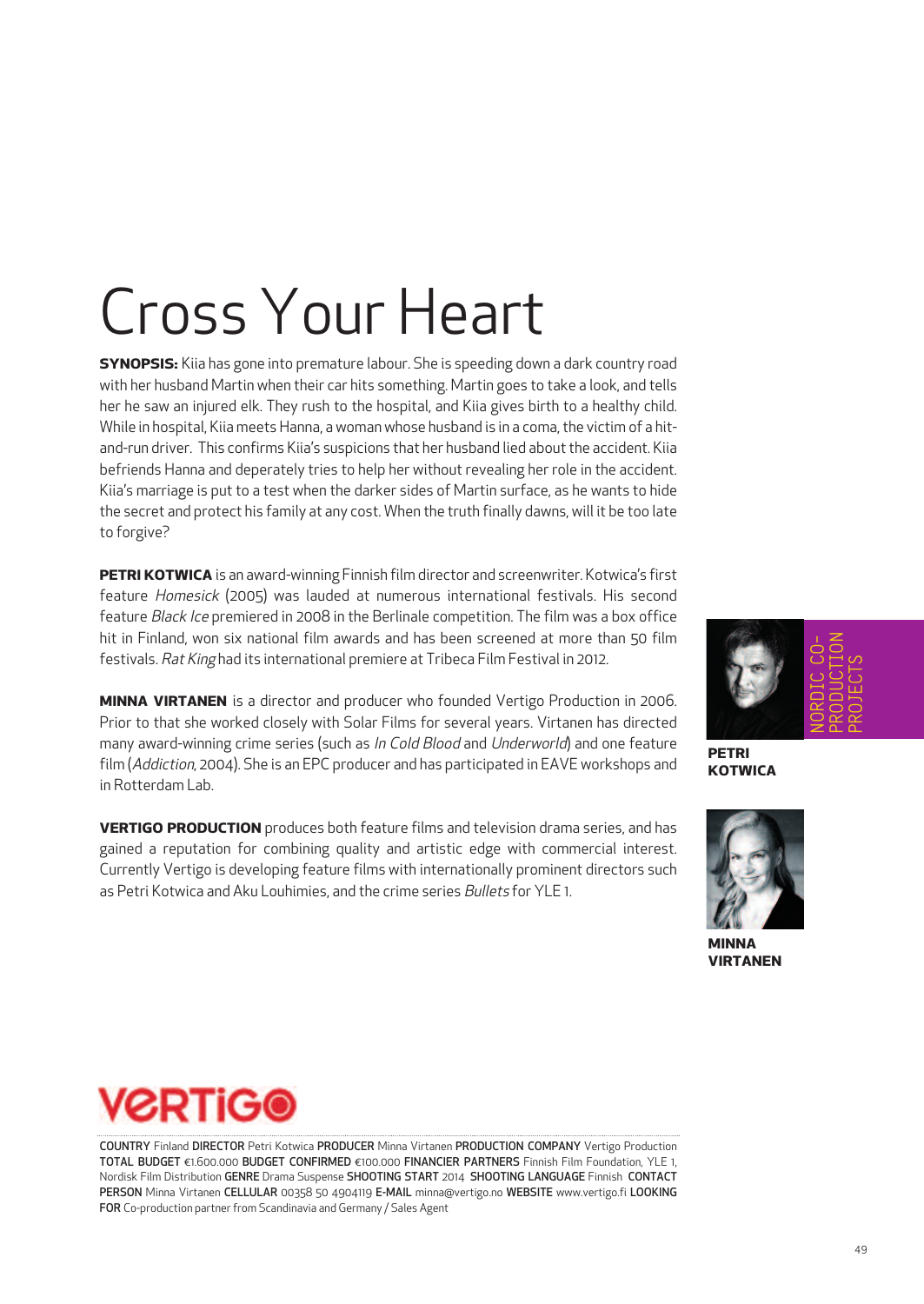## Cross Your Heart

**SYNOPSIS:** Kiia has gone into premature labour. She is speeding down a dark country road with her husband Martin when their car hits something. Martin goes to take a look, and tells her he saw an injured elk. They rush to the hospital, and Kiia gives birth to a healthy child. While in hospital, Kiia meets Hanna, a woman whose husband is in a coma, the victim of a hitand-run driver. This confirms Kiia's suspicions that her husband lied aboutthe accident. Kiia befriends Hanna and deperately tries to help her without revealing her role in the accident. Kiia's marriage is put to a test when the darker sides of Martin surface, as he wants to hide the secret and protect his family at any cost. When the truth finally dawns, will it be too late to forgive?

**PETRI KOTWICA** is an award-winning Finnish film director and screenwriter. Kotwica's first feature Homesick (2005) was lauded at numerous international festivals. His second feature Black Ice premiered in 2008 in the Berlinale competition. The film was a box office hit in Finland, won six national film awards and has been screened at more than 50 film festivals. Rat King had its international premiere at Tribeca Film Festival in 2012.

**MINNA VIRTANEN** is a director and producer who founded Vertigo Production in 2006. Prior to that she worked closely with Solar Films for several years. Virtanen has directed many award-winning crime series (such as In Cold Blood and Underworld) and one feature film (Addiction, 2004). She is an EPC producer and has participated in EAVE workshops and in Rotterdam Lab.

**VERTIGO PRODUCTION** produces both feature films and television drama series, and has gained a reputation for combining quality and artistic edge with commercial interest. Currently Vertigo is developing feature films with internationally prominent directors such as Petri Kotwica and Aku Louhimies, and the crime series *Bullets* for YLE 1.



**PETRI KOTWICA**



**MINNA VIRTANEN**



COUNTRY Finland DIRECTOR Petri Kotwica PRODUCER Minna Virtanen PRODUCTION COMPANY Vertigo Production TOTAL BUDGET €1.600.000 BUDGET CONFIRMED €100.000 FINANCIER PARTNERS Finnish Film Foundation, YLE 1, Nordisk Film Distribution GENRE Drama Suspense SHOOTING START 2014 SHOOTING LANGUAGE Finnish CONTACT PERSON Minna Virtanen CELLULAR 00358 50 4904119 E-MAIL minna@vertigo.no WEBSITE www.vertigo.fi LOOKING FOR Co-production partner from Scandinavia and Germany / Sales Agent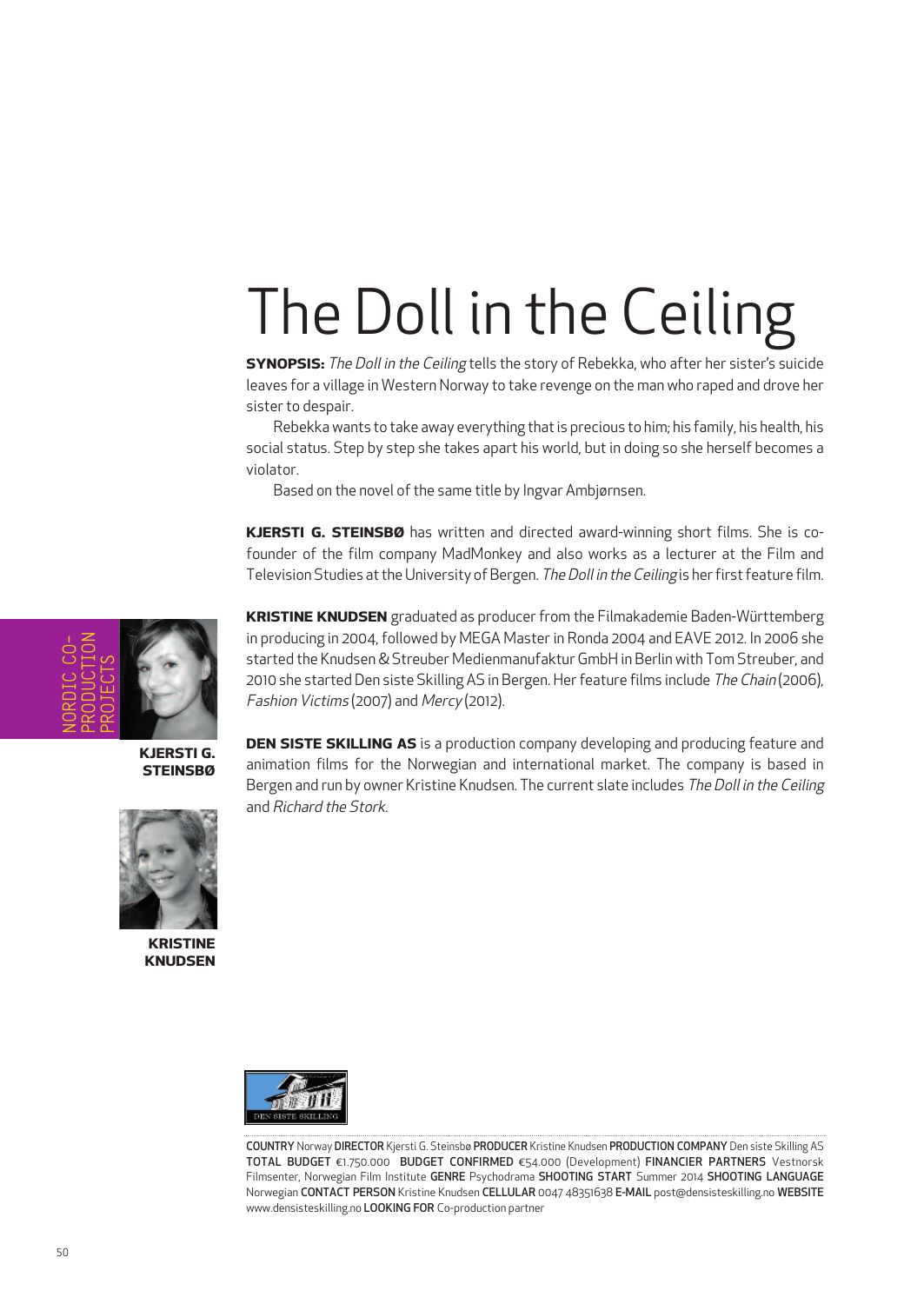# The Doll in the Ceiling

**SYNOPSIS:** The Doll in the Ceiling tells the story of Rebekka, who after her sister's suicide leaves for a village in Western Norway to take revenge on the man who raped and drove her sister to despair.

Rebekka wants to take away everything thatis precious to him; his family, his health, his social status. Step by step she takes apart his world, but in doing so she herself becomes a violator.

Based on the novel of the same title by Ingvar Ambjørnsen.

**KJERSTI G. STEINSBØ** has written and directed award-winning short films. She is cofounder of the film company MadMonkey and also works as a lecturer at the Film and Television Studies at the University of Bergen. The Doll in the Ceiling is her first feature film.

NORDIC CO-PRODUCTION PROJECTS

**KJERSTI G. STEINSBØ**

**KRISTINE KNUDSEN** **KRISTINE KNUDSEN** graduated as producer from the Filmakademie Baden-Württemberg in producing in 2004, followed by MEGA Master in Ronda 2004 and EAVE 2012. In 2006 she started the Knudsen & Streuber Medienmanufaktur GmbH in Berlin with Tom Streuber, and 2010 she started Den siste Skilling AS in Bergen. Her feature films include The Chain (2006), Fashion Victims (2007) and Mercy (2012).

**DEN SISTE SKILLING AS** is a production company developing and producing feature and animation films for the Norwegian and international market. The company is based in Bergen and run by owner Kristine Knudsen. The current slate includes The Doll in the Ceiling and Richard the Stork.



COUNTRY Norway DIRECTOR Kjersti G. Steinsbø PRODUCER Kristine Knudsen PRODUCTION COMPANY Den siste Skilling AS TOTAL BUDGET €1.750.000 BUDGET CONFIRMED €54.000 (Development) FINANCIER PARTNERS Vestnorsk Filmsenter, Norwegian Film Institute GENRE Psychodrama SHOOTING START Summer 2014 SHOOTING LANGUAGE Norwegian CONTACT PERSON Kristine Knudsen CELLULAR 0047 48351638 E-MAIL post@densisteskilling.no WEBSITE www.densisteskilling.no LOOKING FOR Co-production partner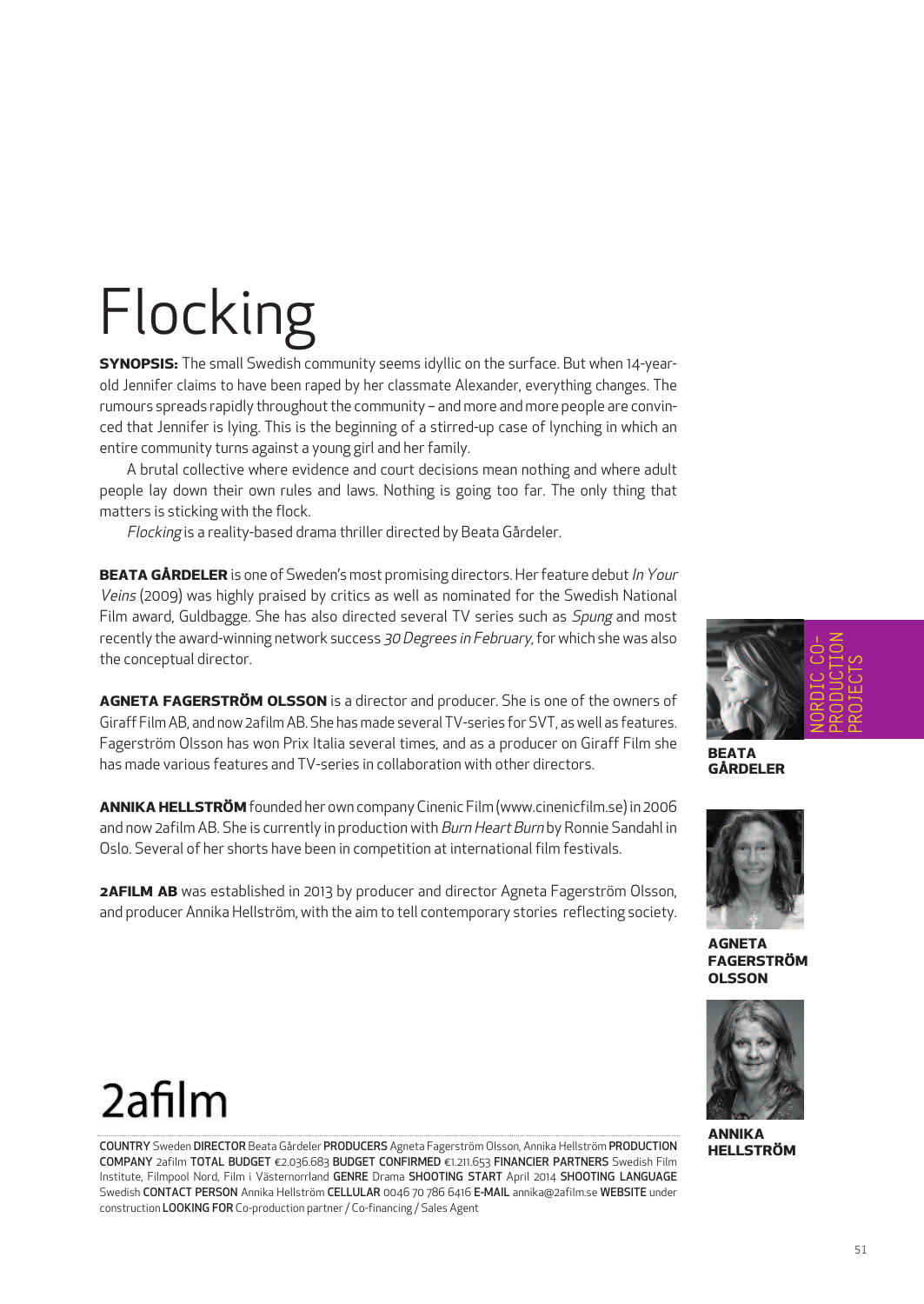# Flocking

**SYNOPSIS:** The small Swedish community seems idyllic on the surface. But when 14-yearold Jennifer claims to have been raped by her classmate Alexander, everything changes. The rumours spreads rapidly throughout the community - and more and more people are convinced that Jennifer is lying. This is the beginning of a stirred-up case of lynching in which an entire community turns against a young girl and her family.

A brutal collective where evidence and court decisions mean nothing and where adult people lay down their own rules and laws. Nothing is going too far. The only thing that matters is sticking with the flock.

Flocking is a reality-based drama thriller directed by Beata Gårdeler.

**BEATA GÅRDELER** is one of Sweden's most promising directors. Her feature debut In Your Veins (2009) was highly praised by critics as well as nominated for the Swedish National Film award, Guldbagge. She has also directed several TV series such as *Spung* and most recently the award-winning network success 30 Degrees in February, for which she was also the conceptual director.

**AGNETA FAGERSTRÖM OLSSON** is a director and producer. She is one of the owners of Giraff FilmAB, and now 2afilmAB. She hasmade several TV-series for SVT, as well as features. Fagerström Olsson has won Prix Italia several times, and as a producer on Giraff Film she has made various features and TV-series in collaboration with other directors.

**ANNIKA HELLSTRÖM**founded her own companyCinenic Film(www.cinenicfilm.se) in 2006 and now 2afilm AB. She is currently in production with Burn Heart Burn by Ronnie Sandahl in Oslo. Several of her shorts have been in competition at international film festivals.

**2AFILM AB** was established in 2013 by producer and director Agneta Fagerström Olsson, and producer Annika Hellström, with the aim to tell contemporary stories reflecting society.

**AGNETA FAGERSTRÖM OLSSON**



### 2afilm

COUNTRY Sweden DIRECTOR Beata Gårdeler PRODUCERS Agneta Fagerström Olsson, Annika Hellström PRODUCTION COMPANY 2afilm TOTAL BUDGET €2.036.683 BUDGET CONFIRMED €1.211.653 FINANCIER PARTNERS Swedish Film Institute, Filmpool Nord, Film i Västernorrland GENRE Drama SHOOTING START April 2014 SHOOTING LANGUAGE Swedish CONTACT PERSON Annika Hellström CELLULAR 0046 70 786 6416 E-MAIL annika@2afilm.se WEBSITE under construction LOOKING FOR Co-production partner/ Co-financing / Sales Agent



**BEATA GÅRDELER**

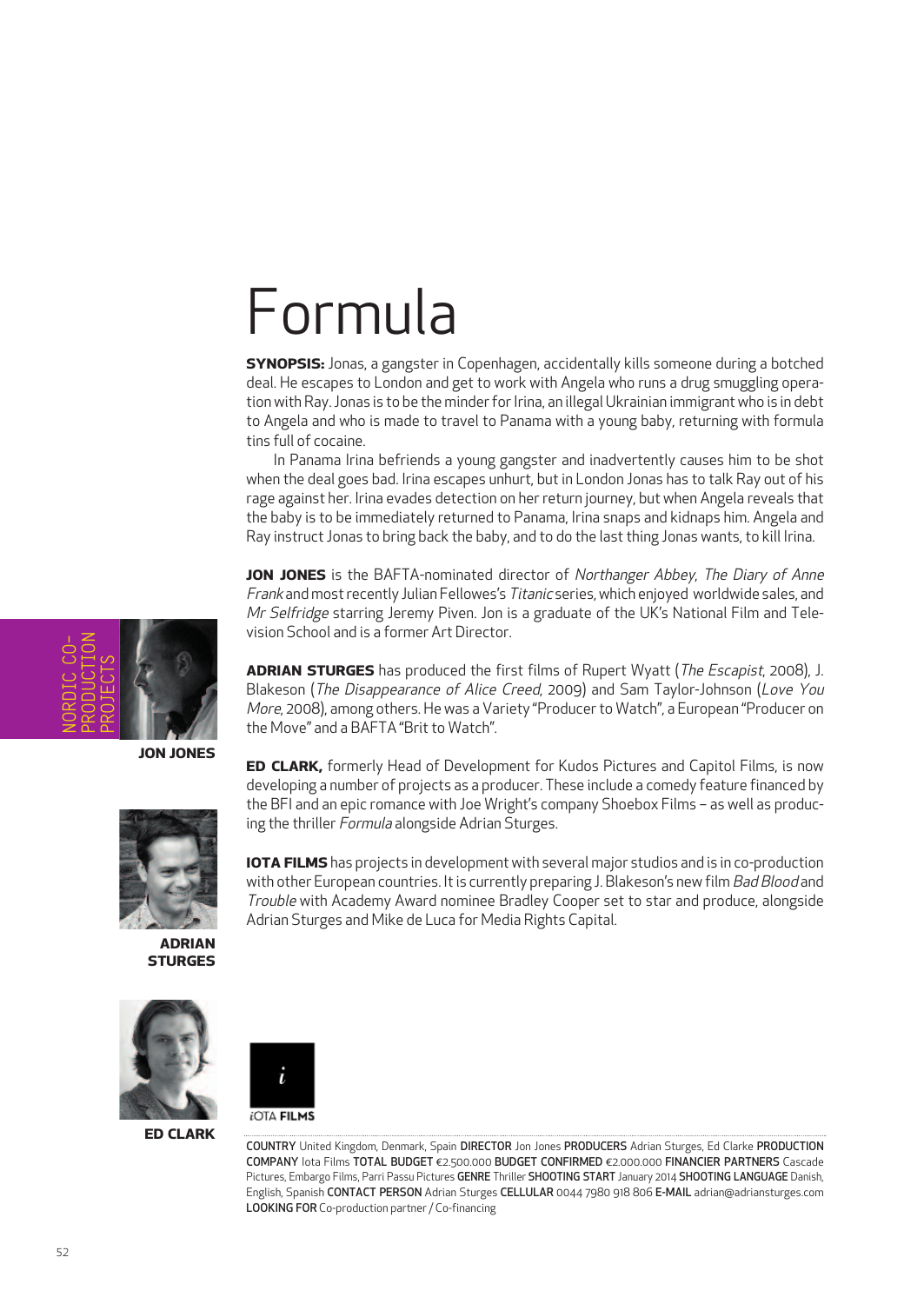## Formula

**SYNOPSIS:** Jonas, a gangster in Copenhagen, accidentally kills someone during a botched deal. He escapes to London and get to work with Angela who runs a drug smuggling operation with Ray. Jonas is to be the minder for Irina, an illegal Ukrainian immigrant who is in debt to Angela and who is made to travel to Panama with a young baby, returning with formula tins full of cocaine.

In Panama Irina befriends a young gangster and inadvertently causes him to be shot when the deal goes bad. Irina escapes unhurt, but in London Jonas has to talk Ray out of his rage against her. Irina evades detection on her return journey, but when Angela reveals that the baby is to be immediately returned to Panama, Irina snaps and kidnaps him. Angela and Ray instruct Jonas to bring back the baby, and to do the last thing Jonas wants, to kill Irina.

**JON JONES** is the BAFTA-nominated director of Northanger Abbey, The Diary of Anne Frank andmostrecently Julian Fellowes's Titanic series, which enjoyed worldwide sales, and Mr Selfridge starring Jeremy Piven. Jon is a graduate of the UK's National Film and Television School and is a former Art Director.

**ADRIAN STURGES** has produced the first films of Rupert Wyatt (*The Escapist*, 2008), J. Blakeson (The Disappearance of Alice Creed, 2009) and Sam Taylor-Johnson (Love You More, 2008), among others. He was a Variety "Producer to Watch", a European "Producer on the Move" and a BAFTA "Brit to Watch"

**ED CLARK,** formerly Head of Development for Kudos Pictures and Capitol Films, is now developing a number of projects as a producer. These include a comedy feature financed by the BFI and an epic romance with Joe Wright's company Shoebox Films – as well as produc-

**IOTA FILMS** has projects in development with several major studios and is in co-production with other European countries. It is currently preparing J. Blakeson's new film Bad Blood and Trouble with Academy Award nominee Bradley Cooper set to star and produce, alongside

ing the thriller Formula alongside Adrian Sturges.

Adrian Sturges and Mike de Luca for Media Rights Capital.

**JON JONES**



**ADRIAN STURGES**



**ED CLARK**



COUNTRY United Kingdom, Denmark, Spain DIRECTOR Jon Jones PRODUCERS Adrian Sturges, Ed Clarke PRODUCTION COMPANY Iota Films TOTAL BUDGET €2.500.000 BUDGET CONFIRMED €2.000.000 FINANCIER PARTNERS Cascade Pictures, Embargo Films, Parri Passu Pictures GENRE Thriller SHOOTING START January 2014 SHOOTING LANGUAGE Danish, English, Spanish CONTACT PERSON Adrian Sturges CELLULAR 0044 7980 918 806 E-MAIL adrian@adriansturges.com LOOKING FOR Co-production partner/ Co-financing

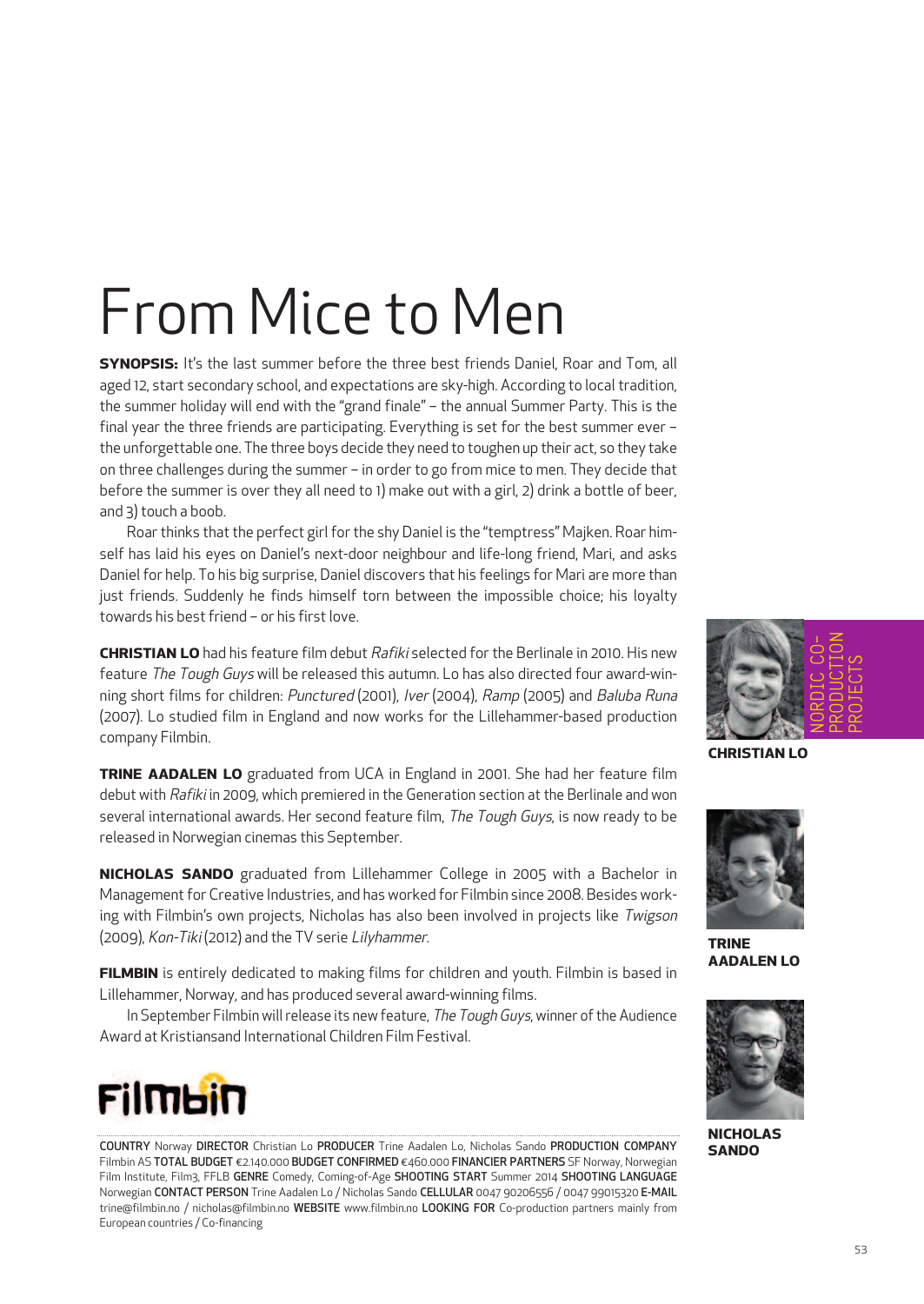## From Mice to Men

**SYNOPSIS:** It's the last summer before the three best friends Daniel, Roar and Tom, all aged 12, start secondary school, and expectations are sky-high. According to local tradition, the summer holiday will end with the "grand finale" – the annual Summer Party. This is the final year the three friends are participating. Everything is set for the best summer ever – the unforgettable one. The three boys decide they need to toughen up their act, so they take on three challenges during the summer – in order to go from mice to men. They decide that before the summer is over they all need to 1) make out with a girl, 2) drink a bottle of beer, and 3)touch a boob.

Roar thinks that the perfect girl for the shy Daniel is the "temptress" Majken. Roar himself has laid his eyes on Daniel's next-door neighbour and life-long friend, Mari, and asks Daniel for help. To his big surprise, Daniel discovers that his feelings for Mari are more than just friends. Suddenly he finds himself torn between the impossible choice; his loyalty towards his best friend – or his first love.

**CHRISTIAN LO** had his feature film debut Rafiki selected for the Berlinale in 2010. His new feature The Tough Guys will be released this autumn. Lo has also directed four award-winning short films for children: Punctured (2001), Iver (2004), Ramp (2005) and Baluba Runa (2007). Lo studied film in England and now works for the Lillehammer-based production company Filmbin.

**TRINE AADALEN LO** graduated from UCA in England in 2001. She had her feature film debut with Rafiki in 2009, which premiered in the Generation section at the Berlinale and won several international awards. Her second feature film, The Tough Guys, is now ready to be released in Norwegian cinemas this September.

**NICHOLAS SANDO** graduated from Lillehammer College in 2005 with a Bachelor in Management for Creative Industries, and has worked for Filmbin since 2008. Besides working with Filmbin's own projects, Nicholas has also been involved in projects like Twigson (2009), Kon-Tiki (2012) and the TV serie Lilyhammer.

**FILMBIN** is entirely dedicated to making films for children and youth. Filmbin is based in Lillehammer, Norway, and has produced several award-winning films.

In September Filmbin will release its new feature, The Tough Guys, winner of the Audience Award at Kristiansand International Children Film Festival.



COUNTRY Norway DIRECTOR Christian Lo PRODUCER Trine Aadalen Lo, Nicholas Sando PRODUCTION COMPANY Filmbin AS TOTAL BUDGET €2.140.000 BUDGET CONFIRMED €460.000 FINANCIER PARTNERS SF Norway, Norwegian Film Institute, Film3, FFLB GENRE Comedy, Coming-of-Age SHOOTING START Summer 2014 SHOOTING LANGUAGE Norwegian CONTACT PERSON Trine Aadalen Lo / Nicholas Sando CELLULAR 0047 90206556 / 0047 99015320 E-MAIL trine@filmbin.no / nicholas@filmbin.no WEBSITE www.filmbin.no LOOKING FOR Co-production partners mainly from European countries / Co-financing



**CHRISTIAN LO**



**TRINE AADALEN LO**



**NICHOLAS SANDO**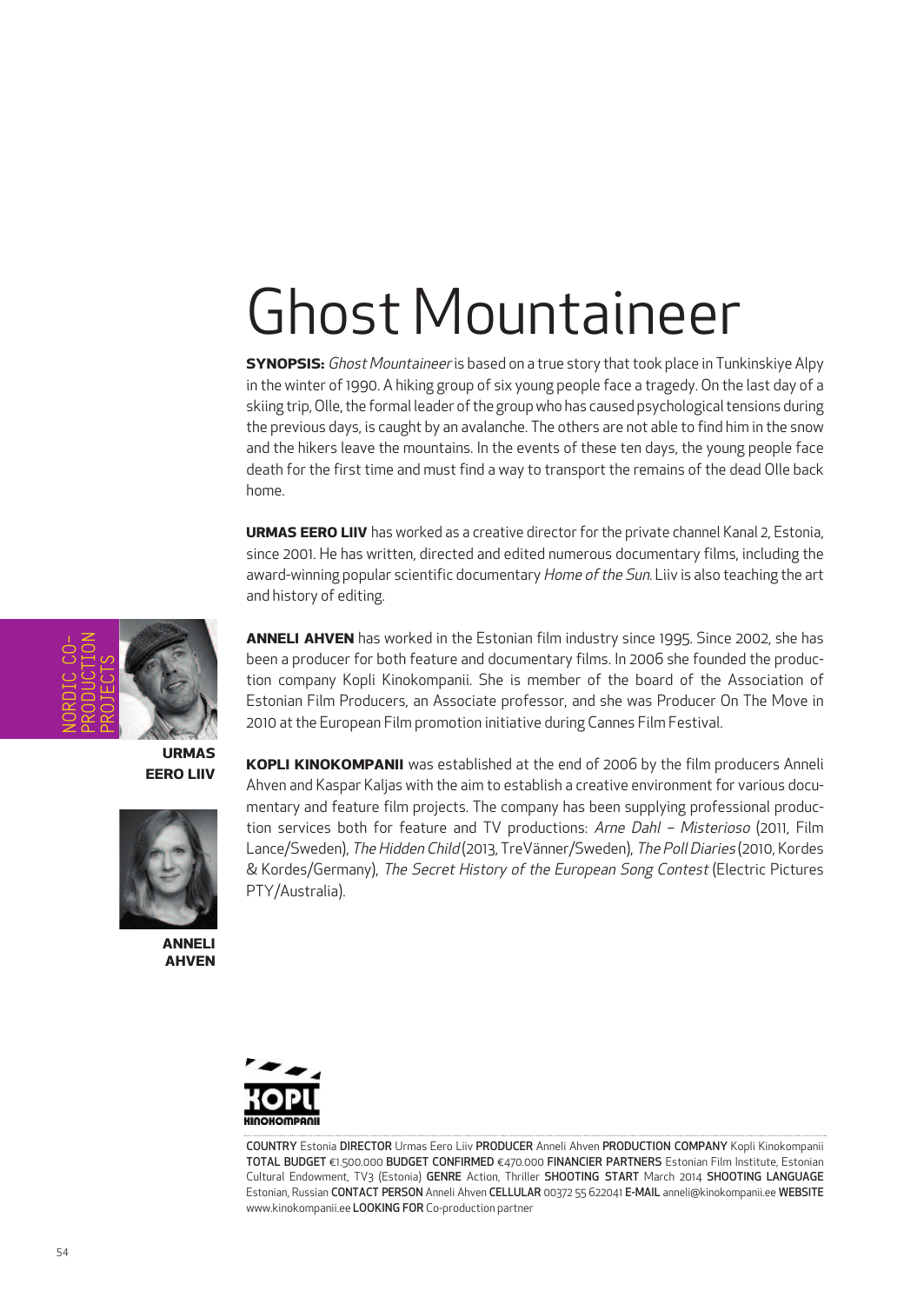# Ghost Mountaineer

**SYNOPSIS:** Ghost Mountaineer is based on a true story that took place in Tunkinskiye Alpy in the winter of 1990. A hiking group of six young people face a tragedy. On the last day of a skiing trip, Olle, the formal leader of the group who has caused psychological tensions during the previous days, is caught by an avalanche. The others are not able to find him in the snow and the hikers leave the mountains. In the events of these ten days, the young people face death for the first time and must find a way to transport the remains of the dead Olle back home.

**URMAS EERO LIIV** has worked as a creative director for the private channel Kanal 2, Estonia, since 2001. He has written, directed and edited numerous documentary films, including the award-winning popular scientific documentary Home of the Sun. Liiv is also teaching the art and history of editing.

NORDIC CO-PRODUCTION PROJECTS

> **URMAS EERO LIIV**



**ANNELI AHVEN** **ANNELI AHVEN** has worked in the Estonian film industry since 1995. Since 2002, she has been a producer for both feature and documentary films. In 2006 she founded the production company Kopli Kinokompanii. She is member of the board of the Association of Estonian Film Producers, an Associate professor, and she was Producer On The Move in 2010 at the European Film promotion initiative during Cannes Film Festival.

**KOPLI KINOKOMPANII** was established at the end of 2006 by the film producers Anneli Ahven and Kaspar Kaljas with the aim to establish a creative environment for various documentary and feature film projects. The company has been supplying professional production services both for feature and TV productions: Arne Dahl - Misterioso (2011, Film Lance/Sweden), The Hidden Child (2013, TreVänner/Sweden), The Poll Diaries (2010, Kordes & Kordes/Germany), The Secret History of the European Song Contest (Electric Pictures PTY/Australia).



COUNTRY Estonia DIRECTOR Urmas Eero Liiv PRODUCER Anneli Ahven PRODUCTION COMPANY Kopli Kinokompanii TOTAL BUDGET €1.500.000 BUDGET CONFIRMED €470.000 FINANCIER PARTNERS Estonian Film Institute, Estonian Cultural Endowment, TV3 (Estonia) GENRE Action, Thriller SHOOTING START March 2014 SHOOTING LANGUAGE Estonian, Russian CONTACT PERSON Anneli Ahven CELLULAR 00372 55 622041 E-MAIL anneli@kinokompanii.ee WEBSITE www.kinokompanii.ee LOOKING FOR Co-production partner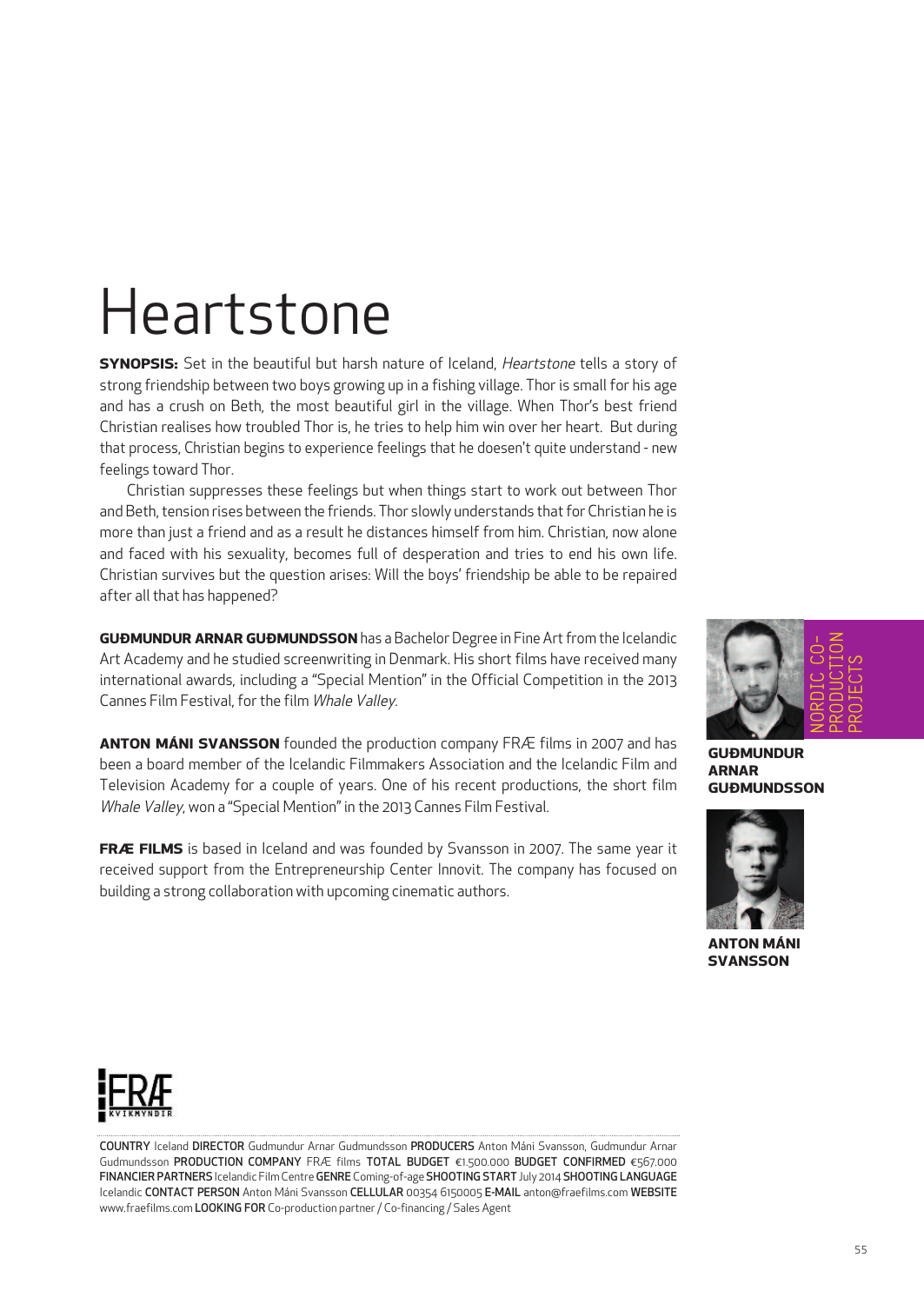## Heartstone

**SYNOPSIS:** Set in the beautiful but harsh nature of Iceland, Heartstone tells a story of strong friendship between two boys growing up in a fishing village. Thor is small for his age and has a crush on Beth, the most beautiful girl in the village. When Thor's best friend Christian realises how troubled Thor is, he tries to help him win over her heart. But during that process, Christian begins to experience feelings that he doesen't quite understand - new feelings toward Thor.

Christian suppresses these feelings but when things start to work out between Thor and Beth, tension rises between the friends. Thor slowly understands that for Christian he is more than just a friend and as a result he distances himself from him. Christian, now alone and faced with his sexuality, becomes full of desperation and tries to end his own life. Christian survives but the question arises: Will the boys' friendship be able to be repaired after all that has happened?

**GUÐMUNDUR ARNAR GUÐMUNDSSON** has a Bachelor Degree in Fine Artfrom the Icelandic Art Academy and he studied screenwriting in Denmark. His short films have received many international awards, including a "Special Mention" in the Official Competition in the 2013 Cannes Film Festival, for the film Whale Valley.

**ANTON MÁNI SVANSSON** founded the production company FRÆ films in 2007 and has been a board member of the Icelandic Filmmakers Association and the Icelandic Film and Television Academy for a couple of years. One of his recent productions, the short film Whale Valley, won a "Special Mention" in the 2013 Cannes Film Festival.

**FRÆ FILMS** is based in Iceland and was founded by Svansson in 2007. The same year it received support from the Entrepreneurship Center Innovit. The company has focused on building a strong collaboration with upcoming cinematic authors.



**GUÐMUNDUR ARNAR GUÐMUNDSSON**



**ANTON MÁNI SVANSSON**



COUNTRY Iceland DIRECTOR Gudmundur Arnar Gudmundsson PRODUCERS Anton Máni Svansson, Gudmundur Arnar Gudmundsson PRODUCTION COMPANY FRÆ films TOTAL BUDGET €1.500.000 BUDGET CONFIRMED €567.000 FINANCIER PARTNERS Icelandic FilmCentreGENRE Coming-of-age SHOOTING START July 2014 SHOOTING LANGUAGE Icelandic CONTACT PERSON Anton Máni Svansson CELLULAR 00354 6150005 E-MAIL anton@fraefilms.com WEBSITE www.fraefilms.com LOOKING FOR Co-production partner/ Co-financing / Sales Agent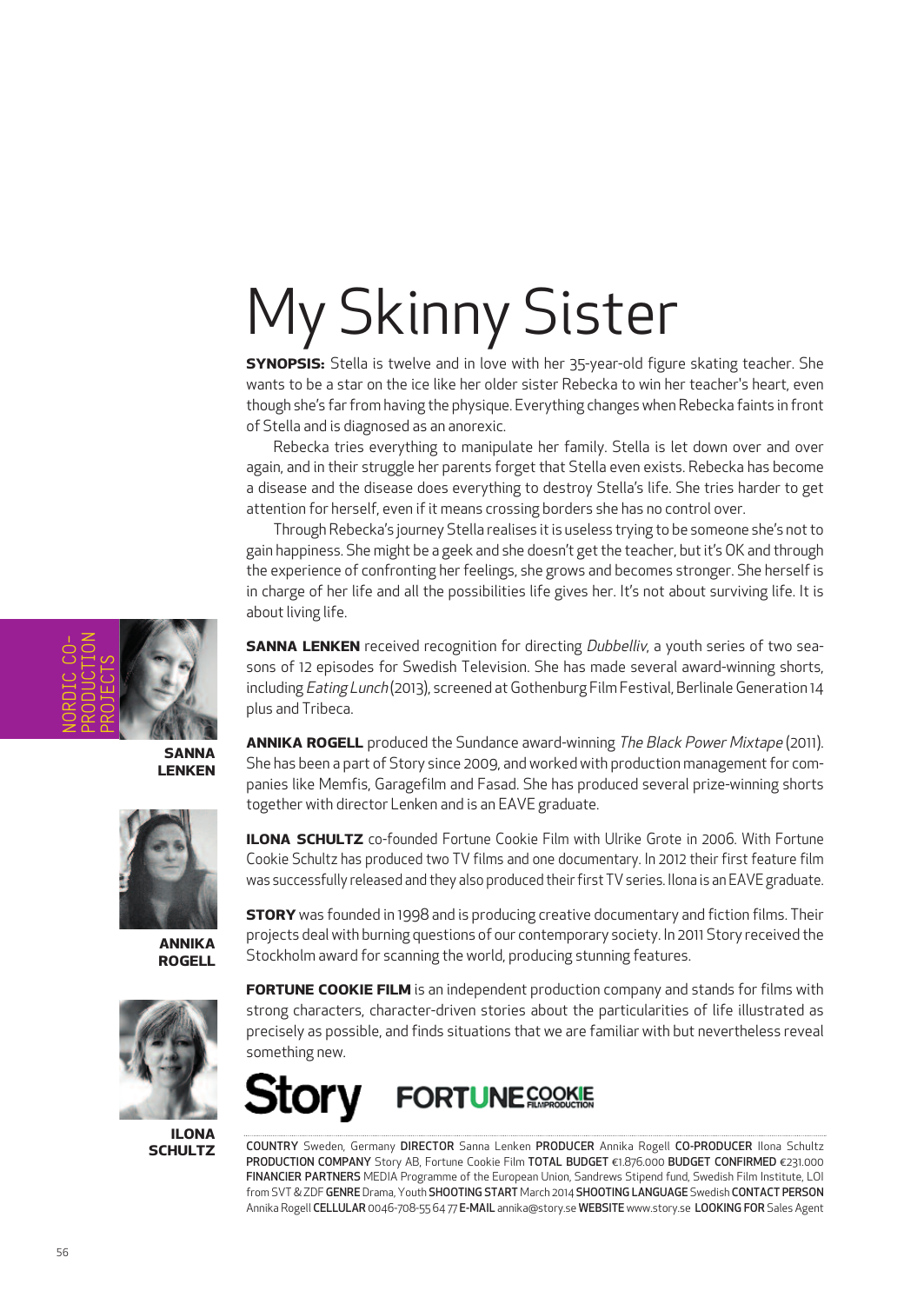# My Skinny Sister

**SYNOPSIS:** Stella is twelve and in love with her 35-year-old figure skating teacher. She wants to be a star on the ice like her older sister Rebecka to win her teacher's heart, even though she's farfrom having the physique. Everything changes when Rebecka faints in front of Stella and is diagnosed as an anorexic.

Rebecka tries everything to manipulate her family. Stella is let down over and over again, and in their struggle her parents forget that Stella even exists. Rebecka has become a disease and the disease does everything to destroy Stella's life. She tries harder to get attention for herself, even if it means crossing borders she has no control over.

Through Rebecka's journey Stella realises it is useless trying to be someone she's not to gain happiness. She might be a geek and she doesn't getthe teacher, butit's OK and through the experience of confronting her feelings, she grows and becomes stronger. She herself is in charge of her life and all the possibilities life gives her. It's not about surviving life. It is about living life.

**SANNA LENKEN** received recognition for directing *Dubbelliv*, a youth series of two seasons of 12 episodes for Swedish Television. She has made several award-winning shorts, including Eating Lunch (2013), screened at Gothenburg Film Festival, Berlinale Generation 14 plus and Tribeca.

**ANNIKA ROGELL** produced the Sundance award-winning The Black Power Mixtape (2011). She has been a part of Story since 2009, and worked with production management for companies like Memfis, Garagefilm and Fasad. She has produced several prize-winning shorts together with director Lenken and is an EAVE graduate.

**ILONA SCHULTZ** co-founded Fortune Cookie Film with Ulrike Grote in 2006. With Fortune Cookie Schultz has produced two TV films and one documentary. In 2012 their first feature film was successfully released and they also produced their first TV series. Ilona is an EAVE graduate.

**STORY** was founded in 1998 and is producing creative documentary and fiction films. Their projects deal with burning questions of our contemporary society. In 2011 Story received the Stockholm award for scanning the world, producing stunning features.

**FORTUNE COOKIE FILM** is an independent production company and stands for films with strong characters, character-driven stories about the particularities of life illustrated as precisely as possible, and finds situations that we are familiar with but nevertheless reveal something new.



COUNTRY Sweden, Germany DIRECTOR Sanna Lenken PRODUCER Annika Rogell CO-PRODUCER Ilona Schultz PRODUCTION COMPANY Story AB, Fortune Cookie Film TOTAL BUDGET €1.876.000 BUDGET CONFIRMED €231.000 FINANCIER PARTNERS MEDIA Programme of the European Union, Sandrews Stipend fund, Swedish Film Institute, LOI from SVT & ZDF GENRE Drama, Youth SHOOTING START March 2014 SHOOTING LANGUAGE Swedish CONTACT PERSON Annika Rogell CELLULAR 0046-708-55 64 77 E-MAIL annika@story.se WEBSITE www.story.se LOOKING FOR Sales Agent



**SANNA LENKEN**



**ANNIKA ROGELL**



**ILONA SCHULTZ**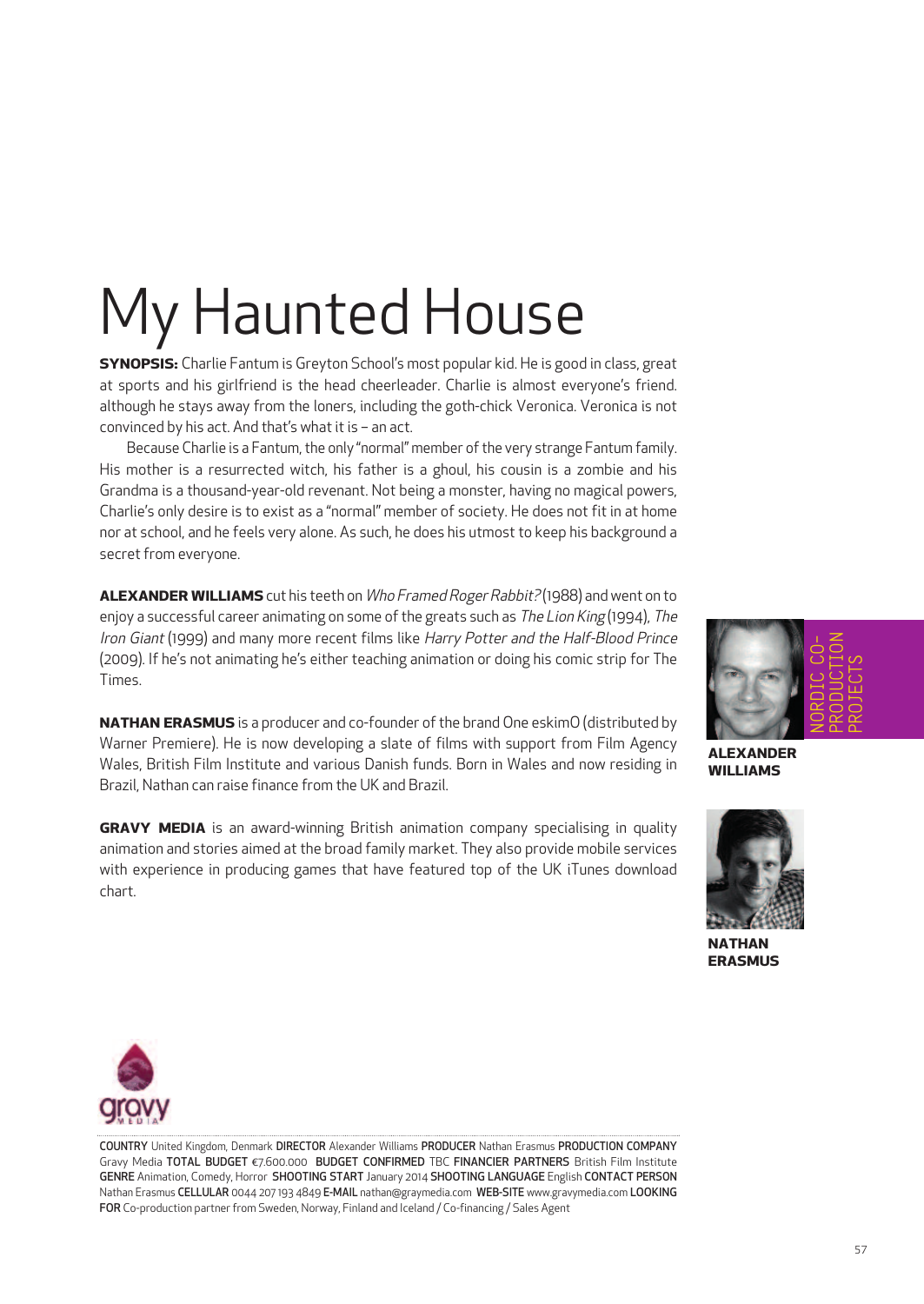# My Haunted House

**SYNOPSIS:** Charlie Fantum is Greyton School's most popular kid. He is good in class, great at sports and his girlfriend is the head cheerleader. Charlie is almost everyone's friend. although he stays away from the loners, including the goth-chick Veronica. Veronica is not convinced by his act. And that's what it is  $-$  an act.

Because Charlie is a Fantum, the only "normal" member of the very strange Fantum family. His mother is a resurrected witch, his father is a ghoul, his cousin is a zombie and his Grandma is a thousand-year-old revenant. Not being a monster, having no magical powers, Charlie's only desire is to exist as a "normal" member of society. He does not fit in at home nor at school, and he feels very alone. As such, he does his utmost to keep his background a secret from everyone.

**ALEXANDER WILLIAMS** cut his teeth on *Who Framed Roger Rabbit?* (1988) and went on to enjoy a successful career animating on some of the greats such as *The Lion King* (1994), The Iron Giant (1999) and many more recent films like Harry Potter and the Half-Blood Prince (2009). If he's not animating he's either teaching animation or doing his comic strip for The Times.

**NATHAN ERASMUS** is a producer and co-founder of the brand One eskimO (distributed by Warner Premiere). He is now developing a slate of films with support from Film Agency Wales, British Film Institute and various Danish funds. Born in Wales and now residing in Brazil, Nathan can raise finance from the UK and Brazil.

**GRAVY MEDIA** is an award-winning British animation company specialising in quality animation and stories aimed at the broad family market. They also provide mobile services with experience in producing games that have featured top of the UK iTunes download chart.



**ALEXANDER WILLIAMS**



**NATHAN ERASMUS**



COUNTRY United Kingdom, Denmark DIRECTOR Alexander Williams PRODUCER Nathan Erasmus PRODUCTION COMPANY Gravy Media TOTAL BUDGET €7.600.000 BUDGET CONFIRMED TBC FINANCIER PARTNERS British Film Institute GENRE Animation, Comedy, Horror SHOOTING START January 2014 SHOOTING LANGUAGE English CONTACT PERSON Nathan Erasmus CELLULAR 0044 207 193 4849 E-MAIL nathan@graymedia.com WEB-SITE www.gravymedia.com LOOKING FOR Co-production partner from Sweden, Norway, Finland and Iceland / Co-financing / Sales Agent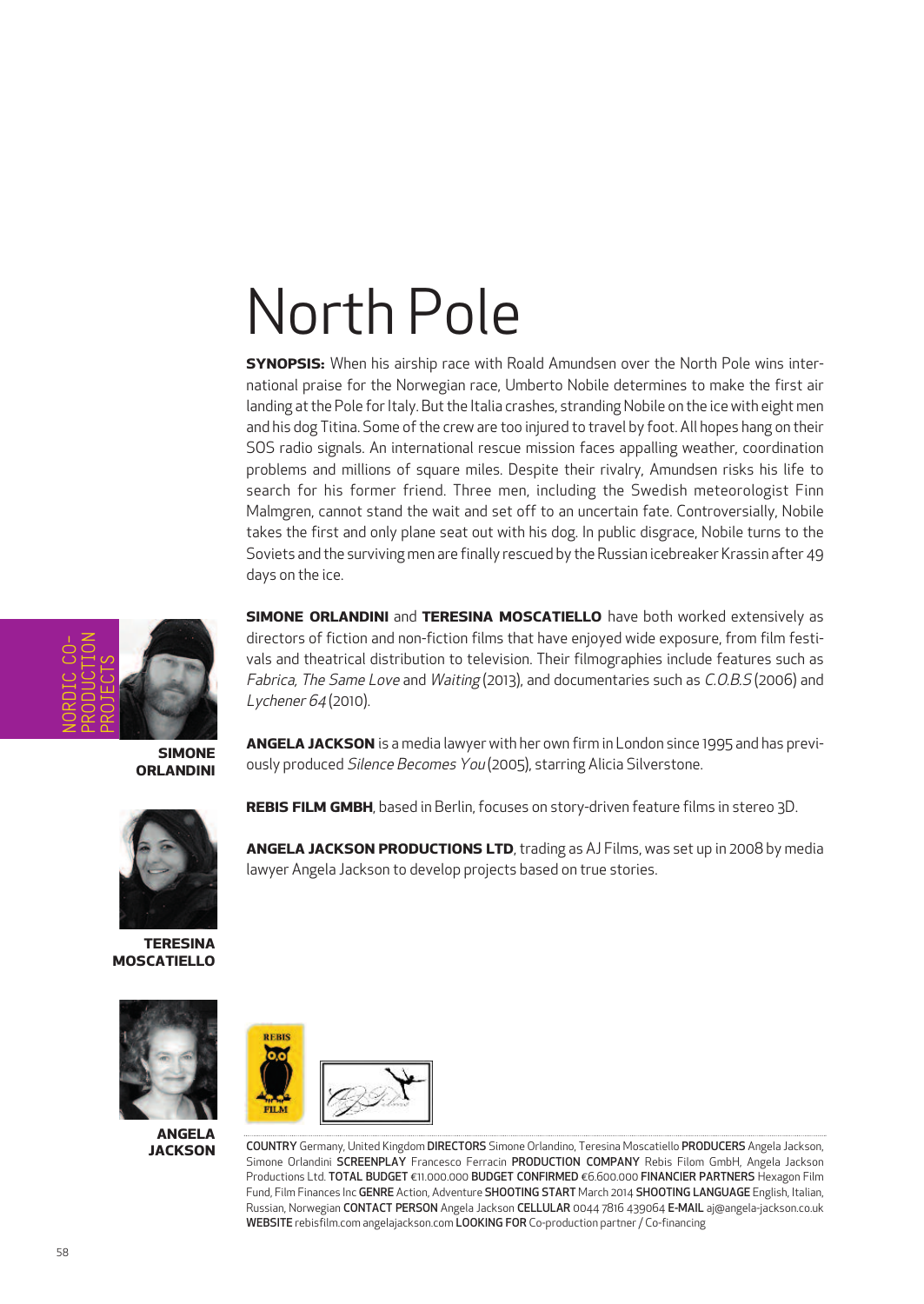## North Pole

**SYNOPSIS:** When his airship race with Roald Amundsen over the North Pole wins international praise for the Norwegian race, Umberto Nobile determines to make the first air landing at the Pole for Italy. But the Italia crashes, stranding Nobile on the ice with eight men and his dog Titina. Some of the crew are too injured to travel by foot. All hopes hang on their SOS radio signals. An international rescue mission faces appalling weather, coordination problems and millions of square miles. Despite their rivalry, Amundsen risks his life to search for his former friend. Three men, including the Swedish meteorologist Finn Malmgren, cannot stand the wait and set off to an uncertain fate. Controversially, Nobile takes the first and only plane seat out with his dog. In public disgrace, Nobile turns to the Soviets and the surviving men are finally rescued by the Russian icebreaker Krassin after 49 days on the ice.

**SIMONE ORLANDINI** and **TERESINA MOSCATIELLO** have both worked extensively as directors of fiction and non-fiction films that have enjoyed wide exposure, from film festivals and theatrical distribution to television. Their filmographies include features such as Fabrica, The Same Love and Waiting (2013), and documentaries such as C.O.B.S (2006) and

**ANGELA JACKSON** is a media lawyer with her own firm in London since 1995 and has previ-

NORDIC CO-PRODUCTION PROJECTS

**SIMONE ORLANDINI**

ously produced Silence Becomes You (2005), starring Alicia Silverstone. **REBIS FILM GMBH**, based in Berlin, focuses on story-driven feature films in stereo 3D.

**ANGELA JACKSON PRODUCTIONS LTD**, trading as AJ Films, was set up in 2008 by media lawyer Angela Jackson to develop projects based on true stories.



**TERESINA**

**ANGELA JACKSON**



Lychener 64 (2010).

COUNTRY Germany, United Kingdom DIRECTORS Simone Orlandino, Teresina Moscatiello PRODUCERS Angela Jackson, Simone Orlandini SCREENPLAY Francesco Ferracin PRODUCTION COMPANY Rebis Filom GmbH, Angela Jackson Productions Ltd. TOTAL BUDGET €11.000.000 BUDGET CONFIRMED €6.600.000 FINANCIER PARTNERS Hexagon Film Fund, Film Finances Inc GENRE Action, Adventure SHOOTING START March 2014 SHOOTING LANGUAGE English, Italian, Russian, Norwegian CONTACT PERSON Angela Jackson CELLULAR 0044 7816 439064 E-MAIL aj@angela-jackson.co.uk WEBSITE rebisfilm.com angelajackson.com LOOKING FOR Co-production partner/ Co-financing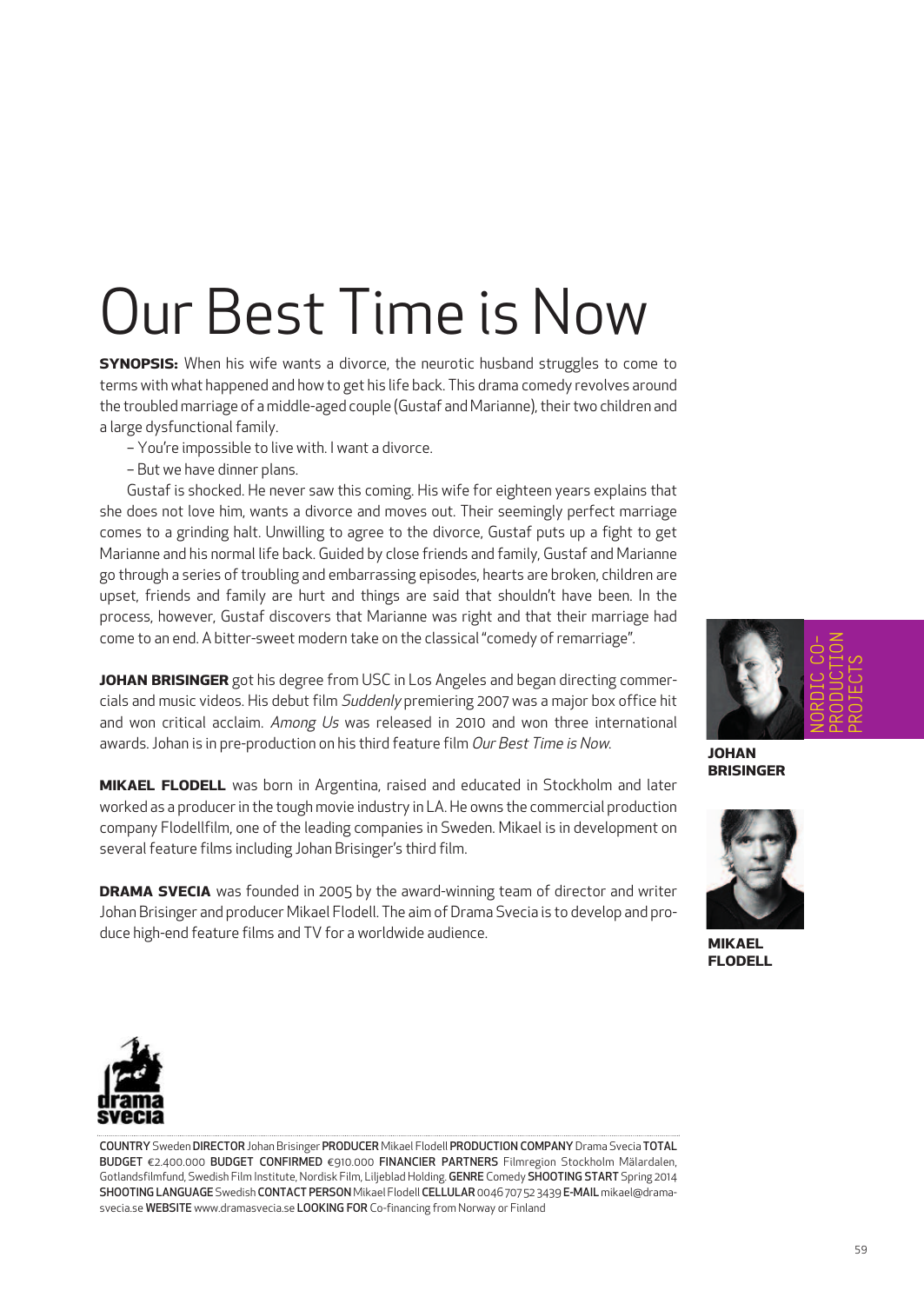# Our Best Time is Now

**SYNOPSIS:** When his wife wants a divorce, the neurotic husband struggles to come to terms with what happened and how to get his life back. This drama comedy revolves around the troubled marriage of a middle-aged couple (Gustaf and Marianne), their two children and a large dysfunctional family.

- You're impossible to live with. I want a divorce.
- But we have dinner plans.

Gustaf is shocked. He never saw this coming. His wife for eighteen years explains that she does not love him, wants a divorce and moves out. Their seemingly perfect marriage comes to a grinding halt. Unwilling to agree to the divorce, Gustaf puts up a fight to get Marianne and his normal life back. Guided by close friends and family, Gustaf and Marianne go through a series of troubling and embarrassing episodes, hearts are broken, children are upset, friends and family are hurt and things are said that shouldn't have been. In the process, however, Gustaf discovers that Marianne was right and that their marriage had come to an end. A bitter-sweet modern take on the classical "comedy of remarriage".

**JOHAN BRISINGER** got his degree from USC in Los Angeles and began directing commercials and music videos. His debut film Suddenly premiering 2007 was a major box office hit and won critical acclaim. Among Us was released in 2010 and won three international awards. Johan is in pre-production on his third feature film Our Best Time is Now.

**MIKAEL FLODELL** was born in Argentina, raised and educated in Stockholm and later worked as a producerin the tough movie industry in LA.He owns the commercial production company Flodellfilm, one of the leading companies in Sweden. Mikael is in development on several feature films including Johan Brisinger's third film.

**DRAMA SVECIA** was founded in 2005 by the award-winning team of director and writer Johan Brisinger and producer Mikael Flodell. The aim of Drama Svecia is to develop and produce high-end feature films and TV for a worldwide audience.



**JOHAN BRISINGER**



**MIKAEL FLODELL**



COUNTRYSwedenDIRECTOR Johan Brisinger PRODUCER Mikael Flodell PRODUCTION COMPANYDrama Svecia TOTAL BUDGET €2.400.000 BUDGET CONFIRMED €910.000 FINANCIER PARTNERS Filmregion Stockholm Mälardalen, Gotlandsfilmfund, Swedish Film Institute, Nordisk Film, Liljeblad Holding. GENRE Comedy SHOOTING START Spring 2014 SHOOTING LANGUAGE Swedish CONTACT PERSON Mikael Flodell CELLULAR 0046 707 52 3439 E-MAIL mikael@dramasvecia.se WEBSITE www.dramasvecia.se LOOKING FOR Co-financing from Norway or Finland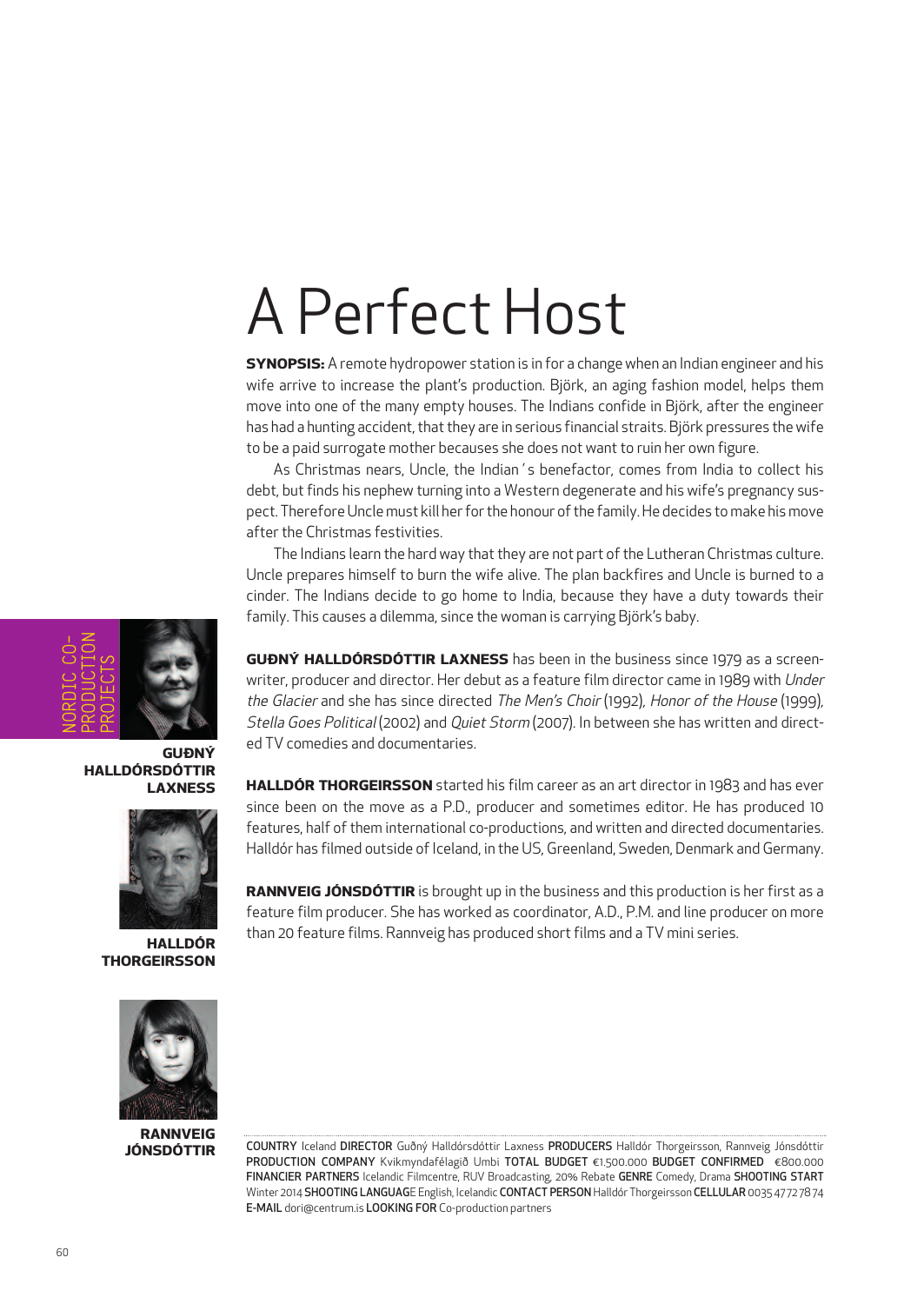## A Perfect Host

**SYNOPSIS:** A remote hydropower station is in for a change when an Indian engineer and his wife arrive to increase the plant's production. Björk, an aging fashion model, helps them move into one of the many empty houses. The Indians confide in Björk, after the engineer has had a hunting accident, that they are in serious financial straits. Björk pressures the wife to be a paid surrogate mother becauses she does not want to ruin her own figure.

As Christmas nears, Uncle, the Indian´s benefactor, comes from India to collect his debt, but finds his nephew turning into a Western degenerate and his wife's pregnancy suspect. Therefore Uncle must kill her for the honour of the family. He decides to make his move after the Christmas festivities.

The Indians learn the hard way that they are not part of the Lutheran Christmas culture. Uncle prepares himself to burn the wife alive. The plan backfires and Uncle is burned to a cinder. The Indians decide to go home to India, because they have a duty towards their family. This causes a dilemma, since the woman is carrying Björk's baby.

**GUÐNÝ HALLDÓRSDÓTTIR LAXNESS** has been in the business since 1979 as a screenwriter, producer and director. Her debut as a feature film director came in 1989 with Under the Glacier and she has since directed The Men's Choir (1992), Honor of the House (1999), Stella Goes Political (2002) and Quiet Storm (2007). In between she has written and directed TV comedies and documentaries.

**HALLDÓR THORGEIRSSON** started his film career as an art director in 1983 and has ever since been on the move as a P.D., producer and sometimes editor. He has produced 10 features, half of them international co-productions, and written and directed documentaries. Halldór has filmed outside of Iceland, in the US, Greenland, Sweden, Denmark and Germany.

**RANNVEIG JÓNSDÓTTIR** is brought up in the business and this production is her first as a feature film producer. She has worked as coordinator, A.D., P.M. and line producer on more than 20 feature films. Rannveig has produced short films and a TV mini series.



**RANNVEIG JÓNSDÓTTIR**

COUNTRY Iceland DIRECTOR Guðný Halldórsdóttir Laxness PRODUCERS Halldór Thorgeirsson, Rannveig Jónsdóttir PRODUCTION COMPANY Kvikmyndafélagið Umbi TOTAL BUDGET €1.500.000 BUDGET CONFIRMED €800.000 FINANCIER PARTNERS Icelandic Filmcentre, RUV Broadcasting, 20% Rebate GENRE Comedy, Drama SHOOTING START Winter 2014 SHOOTING LANGUAGE English, Icelandic CONTACT PERSONHalldór Thorgeirsson CELLULAR 0035 47 72 78 74 E-MAIL dori@centrum.is LOOKING FOR Co-production partners



**GUÐNÝ HALLDÓRSDÓTTIR LAXNESS**



**HALLDÓR THORGEIRSSON**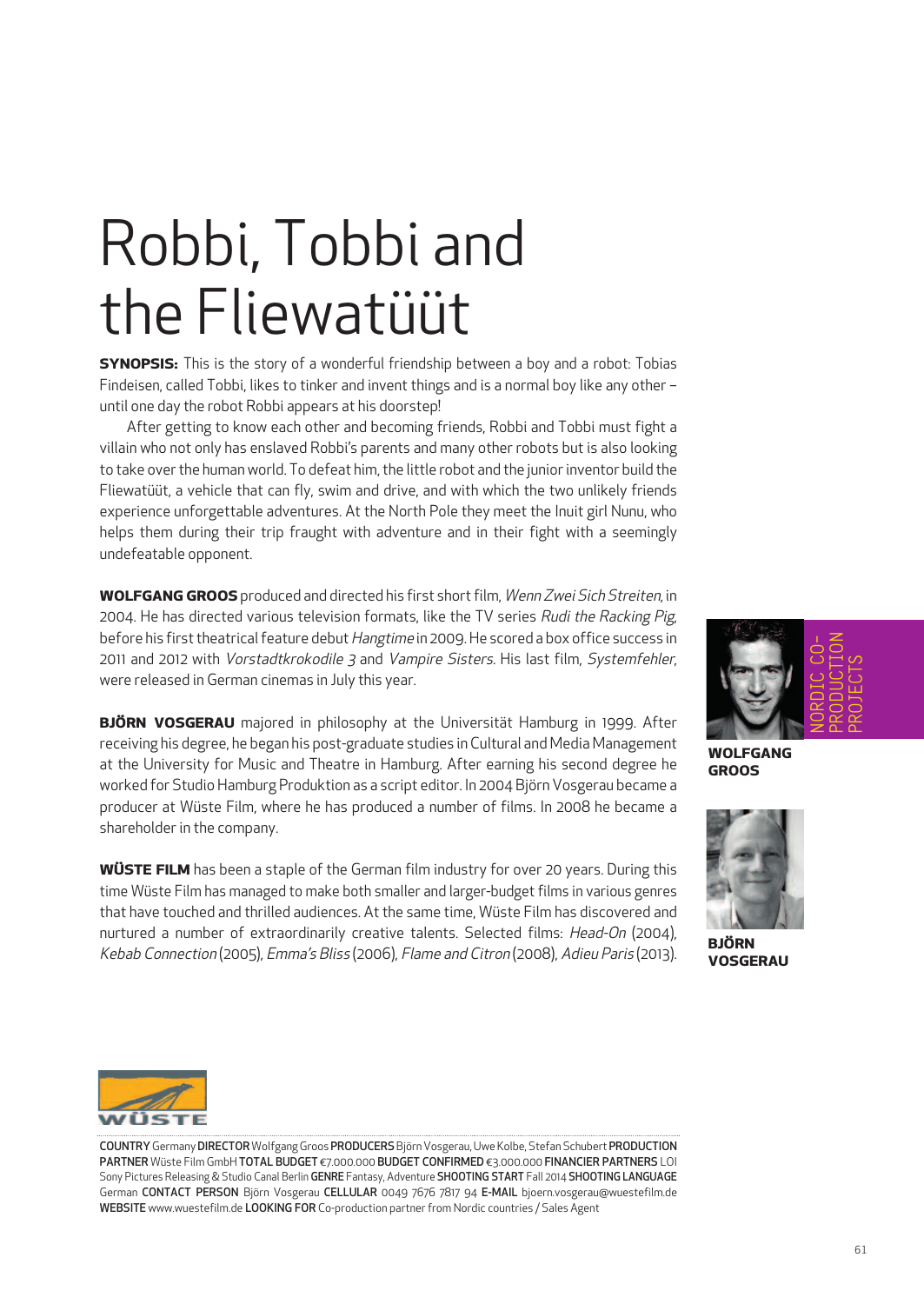## Robbi, Tobbi and the Fliewatüüt

**SYNOPSIS:** This is the story of a wonderful friendship between a boy and a robot: Tobias Findeisen, called Tobbi, likes to tinker and invent things and is a normal boy like any other – until one day the robot Robbi appears at his doorstep!

After getting to know each other and becoming friends, Robbi and Tobbi must fight a villain who not only has enslaved Robbi's parents and many other robots but is also looking to take over the human world. To defeat him, the little robot and the junior inventor build the Fliewatüüt, a vehicle that can fly, swim and drive, and with which the two unlikely friends experience unforgettable adventures. At the North Pole they meet the Inuit girl Nunu, who helps them during their trip fraught with adventure and in their fight with a seemingly undefeatable opponent.

**WOLFGANG GROOS** produced and directed his first shortfilm, Wenn Zwei Sich Streiten, in 2004. He has directed various television formats, like the TV series Rudi the Racking Pig, before his first theatrical feature debut Hangtime in 2009. He scored a box office success in 2011 and 2012 with Vorstadtkrokodile 3 and Vampire Sisters. His last film, Systemfehler, were released in German cinemas in July this year.

**BJÖRN VOSGERAU** majored in philosophy at the Universität Hamburg in 1999. After receiving his degree, he began his post-graduate studies in Cultural and Media Management at the University for Music and Theatre in Hamburg. After earning his second degree he worked for Studio Hamburg Produktion as a script editor. In 2004 Björn Vosgerau became a producer at Wüste Film, where he has produced a number of films. In 2008 he became a shareholder in the company.

**WÜSTE FILM** has been a staple of the German film industry for over 20 years. During this time Wüste Film has managed to make both smaller and larger-budget films in various genres that have touched and thrilled audiences. At the same time, Wüste Film has discovered and nurtured a number of extraordinarily creative talents. Selected films: Head-On (2004), Kebab Connection (2005), Emma's Bliss (2006), Flame and Citron (2008), Adieu Paris (2013).



**WOLFGANG GROOS**



**BJÖRN VOSGERAU**



COUNTRY Germany DIRECTOR Wolfgang Groos PRODUCERS Björn Vosgerau, Uwe Kolbe, Stefan Schubert PRODUCTION PARTNER Wüste Film GmbH TOTAL BUDGET €7.000.000 BUDGET CONFIRMED €3.000.000 FINANCIER PARTNERS LOI Sony Pictures Releasing & Studio Canal Berlin GENRE Fantasy, Adventure SHOOTING START Fall 2014 SHOOTING LANGUAGE German CONTACT PERSON Björn Vosgerau CELLULAR 0049 7676 7817 94 E-MAIL bjoern.vosgerau@wuestefilm.de WEBSITE www.wuestefilm.de LOOKING FOR Co-production partner from Nordic countries / Sales Agent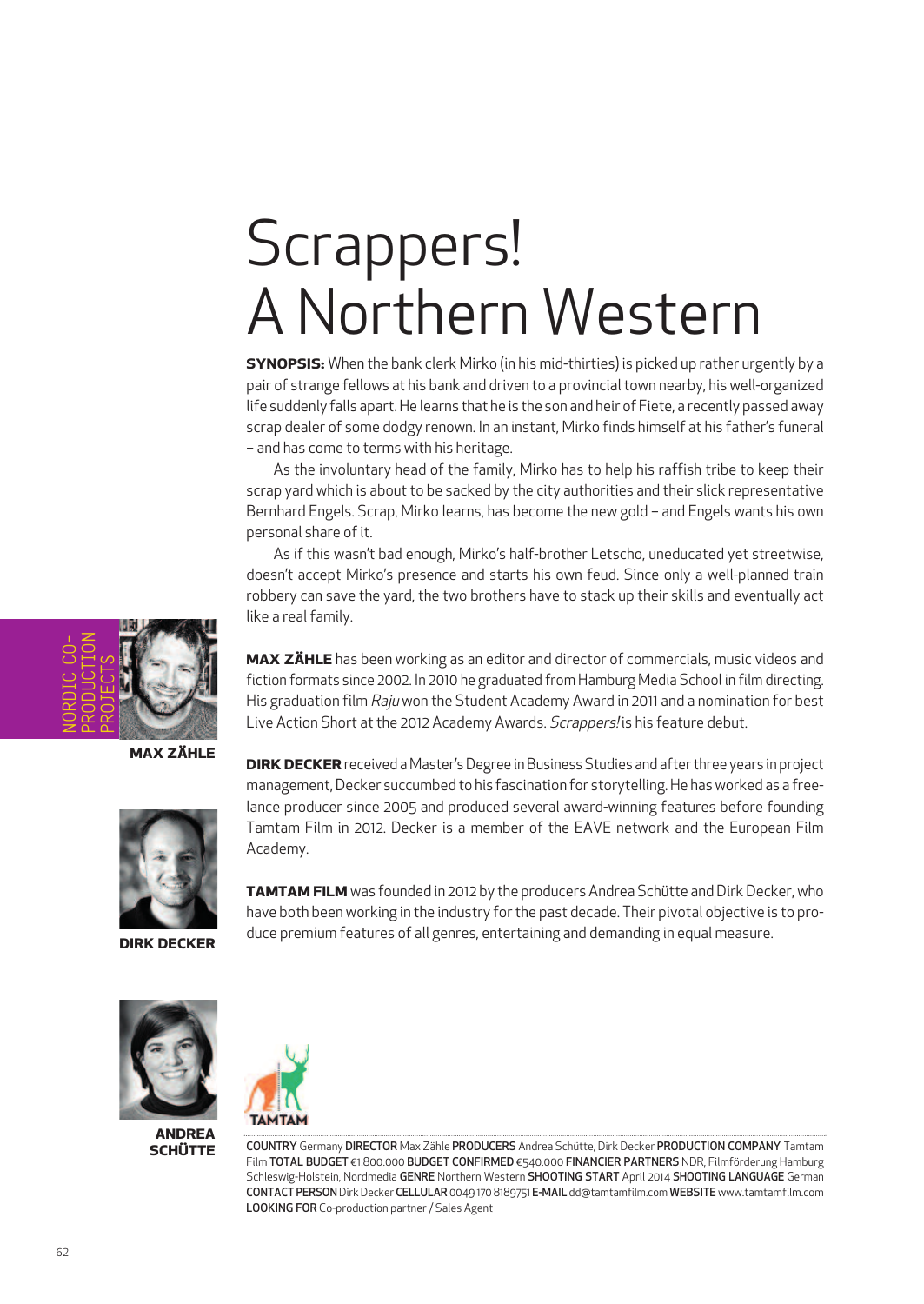# Scrappers! A Northern Western

**SYNOPSIS:** When the bank clerk Mirko (in his mid-thirties) is picked up rather urgently by a pair of strange fellows at his bank and driven to a provincial town nearby, his well-organized life suddenly falls apart. He learns that he is the son and heir of Fiete, a recently passed away scrap dealer of some dodgy renown. In an instant, Mirko finds himself at his father's funeral – and has come to terms with his heritage.

As the involuntary head of the family, Mirko has to help his raffish tribe to keep their scrap yard which is about to be sacked by the city authorities and their slick representative Bernhard Engels. Scrap, Mirko learns, has become the new gold – and Engels wants his own personal share of it.

As if this wasn't bad enough, Mirko's half-brother Letscho, uneducated yet streetwise, doesn't accept Mirko's presence and starts his own feud. Since only a well-planned train robbery can save the yard, the two brothers have to stack up their skills and eventually act like a real family.

**MAX ZÄHLE** has been working as an editor and director of commercials, music videos and fiction formats since 2002. In 2010 he graduated from Hamburg Media School in film directing. His graduation film Raju won the Student Academy Award in 2011 and a nomination for best Live Action Short at the 2012 Academy Awards. Scrappers! is his feature debut.

**MAX ZÄHLE**



**DIRK DECKER**

**DIRK DECKER** received a Master's Degree in Business Studies and after three years in project management,Decker succumbed to his fascination for storytelling.He has worked as a freelance producer since 2005 and produced several award-winning features before founding Tamtam Film in 2012. Decker is a member of the EAVE network and the European Film Academy.

**TAMTAM FILM** was founded in 2012 by the producers Andrea Schütte and Dirk Decker, who have both been working in the industry for the past decade. Their pivotal objective is to produce premium features of all genres, entertaining and demanding in equal measure.



**ANDREA SCHÜTTE**



COUNTRY Germany DIRECTOR Max Zähle PRODUCERS Andrea Schütte, Dirk Decker PRODUCTION COMPANY Tamtam Film TOTAL BUDGET €1.800.000 BUDGET CONFIRMED €540.000 FINANCIER PARTNERS NDR, Filmförderung Hamburg Schleswig-Holstein, Nordmedia GENRE Northern Western SHOOTING START April 2014 SHOOTING LANGUAGE German CONTACT PERSONDirkDecker CELLULAR 0049 170 8189751 E-MAIL dd@tamtamfilm.com WEBSITE www.tamtamfilm.com LOOKING FOR Co-production partner/ Sales Agent

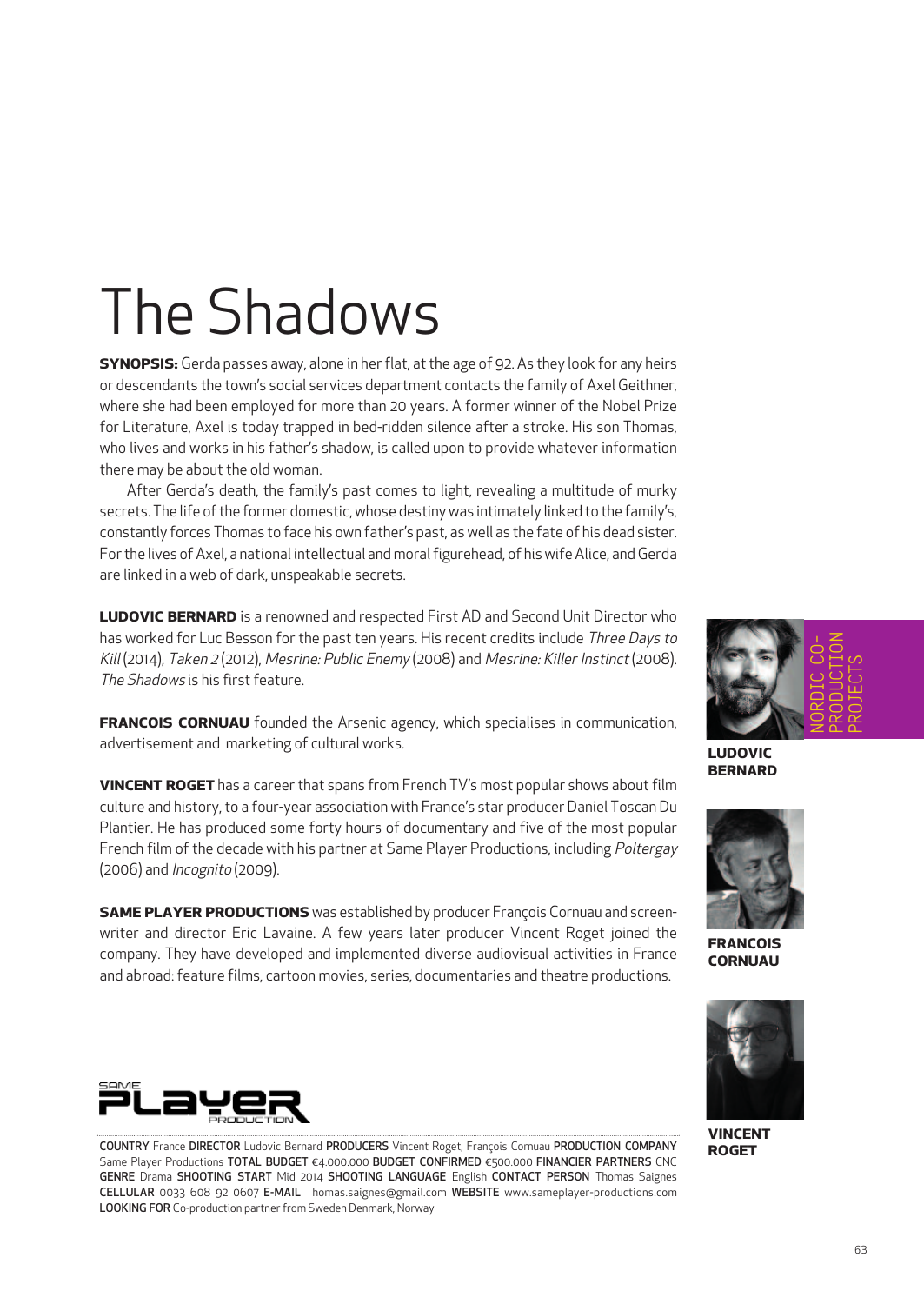## The Shadows

**SYNOPSIS:** Gerda passes away, alone in her flat, at the age of 92. As they look for any heirs or descendants the town's social services department contacts the family of Axel Geithner, where she had been employed for more than 20 years. A former winner of the Nobel Prize for Literature, Axel is today trapped in bed-ridden silence after a stroke. His son Thomas, who lives and works in his father's shadow, is called upon to provide whatever information there may be about the old woman.

After Gerda's death, the family's past comes to light, revealing a multitude of murky secrets. The life of the former domestic, whose destiny was intimately linked to the family's, constantly forces Thomas to face his own father's past, as well as the fate of his dead sister. For the lives of Axel, a national intellectual and moral figurehead, of his wife Alice, and Gerda are linked in a web of dark, unspeakable secrets.

**LUDOVIC BERNARD** is a renowned and respected First AD and Second Unit Director who has worked for Luc Besson for the past ten years. His recent credits include Three Days to Kill (2014), Taken <sup>2</sup> (2012), Mesrine: Public Enemy (2008) and Mesrine: Killer Instinct (2008). The Shadows is his first feature.

**FRANCOIS CORNUAU** founded the Arsenic agency, which specialises in communication, advertisement and marketing of cultural works.

**VINCENT ROGET** has a career that spans from French TV's most popular shows about film culture and history, to a four-year association with France's star producer Daniel Toscan Du Plantier. He has produced some forty hours of documentary and five of the most popular French film of the decade with his partner at Same Player Productions, including Poltergay (2006) and Incognito (2009).

**SAME PLAYER PRODUCTIONS** was established by producer François Cornuau and screenwriter and director Eric Lavaine. A few years later producer Vincent Roget joined the company. They have developed and implemented diverse audiovisual activities in France and abroad: feature films, cartoon movies, series, documentaries and theatre productions.



**LUDOVIC BERNARD**



**FRANCOIS CORNUAU**



**VINCENT ROGET**



COUNTRY France DIRECTOR Ludovic Bernard PRODUCERS Vincent Roget, François Cornuau PRODUCTION COMPANY Same Player Productions TOTAL BUDGET €4.000.000 BUDGET CONFIRMED €500.000 FINANCIER PARTNERS CNC GENRE Drama SHOOTING START Mid 2014 SHOOTING LANGUAGE English CONTACT PERSON Thomas Saignes CELLULAR 0033 608 92 0607 E-MAIL Thomas.saignes@gmail.com WEBSITE www.sameplayer-productions.com LOOKING FOR Co-production partner from Sweden Denmark, Norway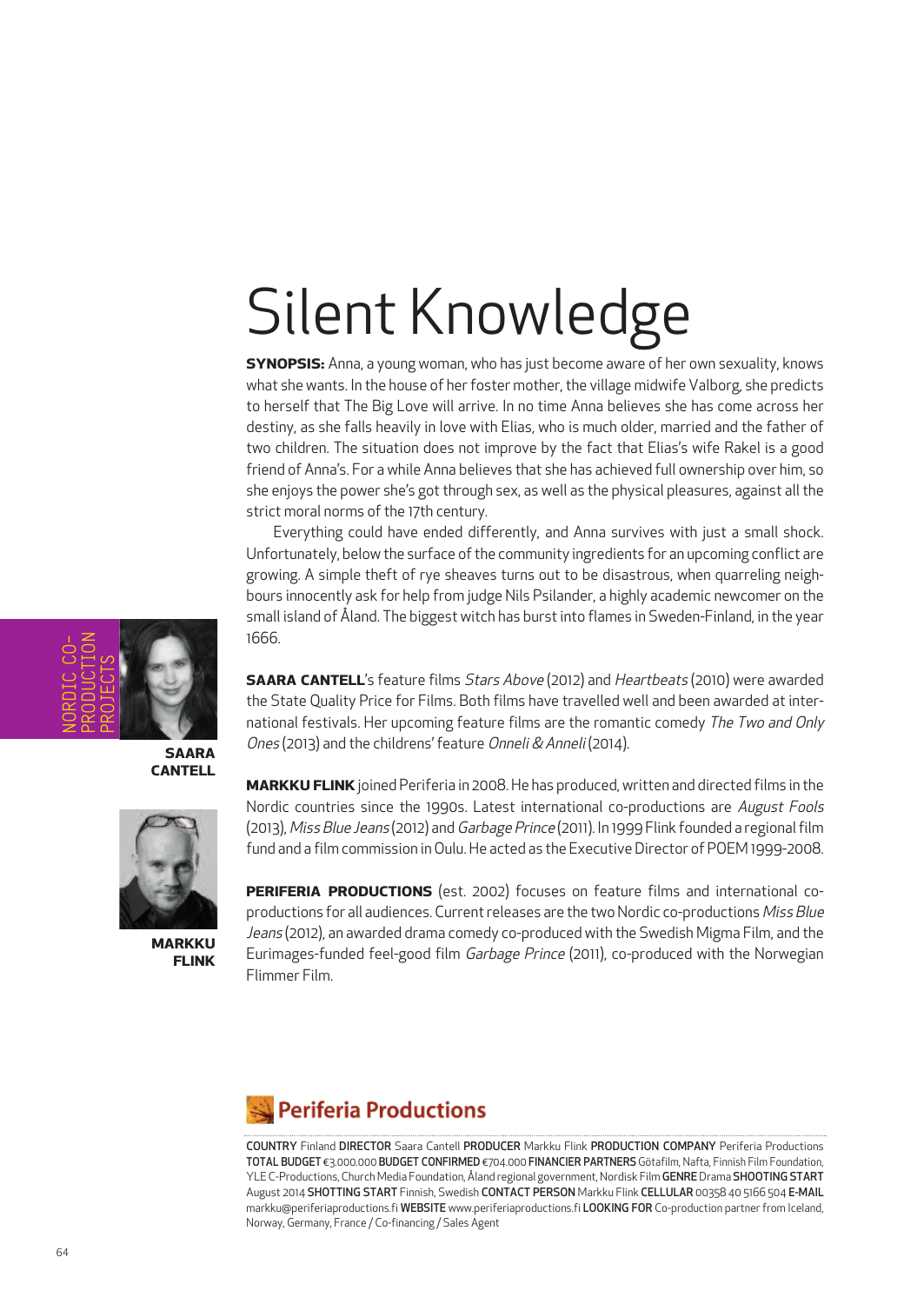# Silent Knowledge

**SYNOPSIS:** Anna, a young woman, who has just become aware of her own sexuality, knows what she wants. In the house of her foster mother, the village midwife Valborg, she predicts to herself that The Big Love will arrive. In no time Anna believes she has come across her destiny, as she falls heavily in love with Elias, who is much older, married and the father of two children. The situation does not improve by the fact that Elias's wife Rakel is a good friend of Anna's. For a while Anna believes that she has achieved full ownership over him, so she enjoys the power she's got through sex, as well as the physical pleasures, against all the strict moral norms of the 17th century.

Everything could have ended differently, and Anna survives with just a small shock. Unfortunately, below the surface of the community ingredients for an upcoming conflict are growing. A simple theft of rye sheaves turns out to be disastrous, when quarreling neighbours innocently ask for help from judge Nils Psilander, a highly academic newcomer on the small island of Åland. The biggest witch has burstinto flames in Sweden-Finland, in the year 1666.

NORDIC CO-PRODUCTION PROJECTS

> **SAARA CANTELL**



**MARKKU FLINK**

**SAARA CANTELL**'s feature films Stars Above (2012) and Heartbeats (2010) were awarded the State Quality Price for Films. Both films have travelled well and been awarded at international festivals. Her upcoming feature films are the romantic comedy The Two and Only Ones (2013) and the childrens'feature Onneli & Anneli (2014).

**MARKKU FLINK**joined Periferia in 2008.He has produced, written and directed films in the Nordic countries since the 1990s. Latest international co-productions are August Fools (2013), Miss Blue Jeans (2012) and Garbage Prince (2011). In 1999 Flink founded a regional film fund and a film commission inOulu.He acted as the ExecutiveDirector of POEM 1999-2008.

**PERIFERIA PRODUCTIONS** (est. 2002) focuses on feature films and international coproductions for all audiences. Current releases are the two Nordic co-productions Miss Blue Jeans (2012), an awarded drama comedy co-produced with the Swedish Migma Film, and the Eurimages-funded feel-good film Garbage Prince (2011), co-produced with the Norwegian Flimmer Film.

#### **Periferia Productions**

COUNTRY Finland DIRECTOR Saara Cantell PRODUCER Markku Flink PRODUCTION COMPANY Periferia Productions TOTAL BUDGET €3.000.000 BUDGET CONFIRMED €704.000 FINANCIER PARTNERS Götafilm, Nafta, Finnish Film Foundation, YLE C-Productions, Church Media Foundation, Åland regional government, Nordisk Film GENRE Drama SHOOTING START August 2014 SHOTTING START Finnish, Swedish CONTACT PERSON Markku Flink CELLULAR 00358 40 5166 504 E-MAIL markku@periferiaproductions.fi WEBSITE www.periferiaproductions.fi LOOKING FOR Co-production partner from Iceland, Norway, Germany, France / Co-financing / Sales Agent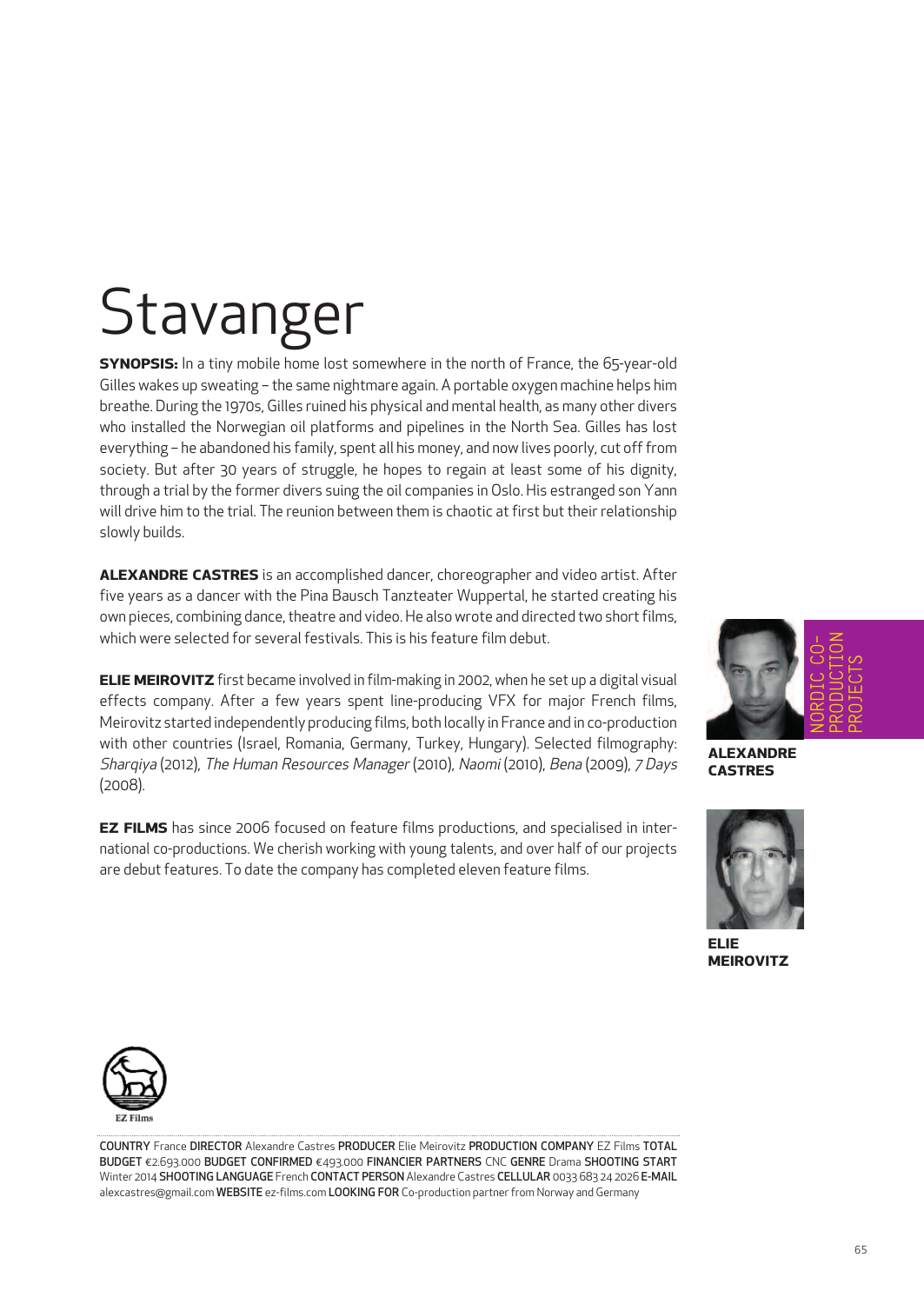# **Stavanger**

**SYNOPSIS:** In a tiny mobile home lost somewhere in the north of France, the 65-year-old Gilles wakes up sweating – the same nightmare again. A portable oxygen machine helps him breathe. During the 1970s, Gilles ruined his physical and mental health, as many other divers who installed the Norwegian oil platforms and pipelines in the North Sea. Gilles has lost everything – he abandoned his family, spent all his money, and now lives poorly, cut offfrom society. But after 30 years of struggle, he hopes to regain at least some of his dignity, through a trial by the former divers suing the oil companies in Oslo. His estranged son Yann will drive him to the trial. The reunion between them is chaotic at first but their relationship slowly builds.

**ALEXANDRE CASTRES** is an accomplished dancer, choreographer and video artist. After five years as a dancer with the Pina Bausch Tanzteater Wuppertal, he started creating his own pieces, combining dance, theatre and video. He also wrote and directed two short films, which were selected for several festivals. This is his feature film debut.

**ELIE MEIROVITZ** first became involved in film-making in 2002, when he set up a digital visual effects company. After a few years spent line-producing VFX for major French films, Meirovitz started independently producing films, both locally in France and in co-production with other countries (Israel, Romania, Germany, Turkey, Hungary). Selected filmography: Sharqiya (2012), The Human Resources Manager (2010), Naomi (2010), Bena (2009), 7 Days (2008).

**EZ FILMS** has since 2006 focused on feature films productions, and specialised in international co-productions. We cherish working with young talents, and over half of our projects are debut features. To date the company has completed eleven feature films.



**ALEXANDRE CASTRES**



**ELIE MEIROVITZ**



COUNTRY France DIRECTOR Alexandre Castres PRODUCER Elie Meirovitz PRODUCTION COMPANY EZ Films TOTAL BUDGET €2.693.000 BUDGET CONFIRMED €493.000 FINANCIER PARTNERS CNC GENRE Drama SHOOTING START Winter 2014 SHOOTING LANGUAGE French CONTACT PERSON Alexandre Castres CELLULAR 0033 683 24 2026 E-MAIL alexcastres@gmail.com WEBSITE ez-films.com LOOKING FOR Co-production partner from Norway and Germany